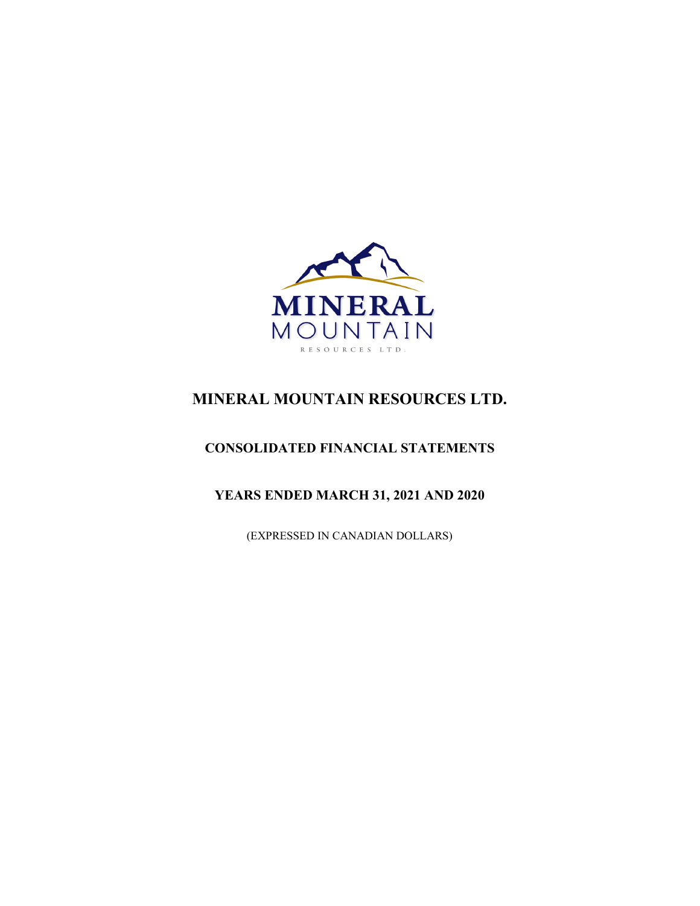

# **MINERAL MOUNTAIN RESOURCES LTD.**

# **CONSOLIDATED FINANCIAL STATEMENTS**

# **YEARS ENDED MARCH 31, 2021 AND 2020**

(EXPRESSED IN CANADIAN DOLLARS)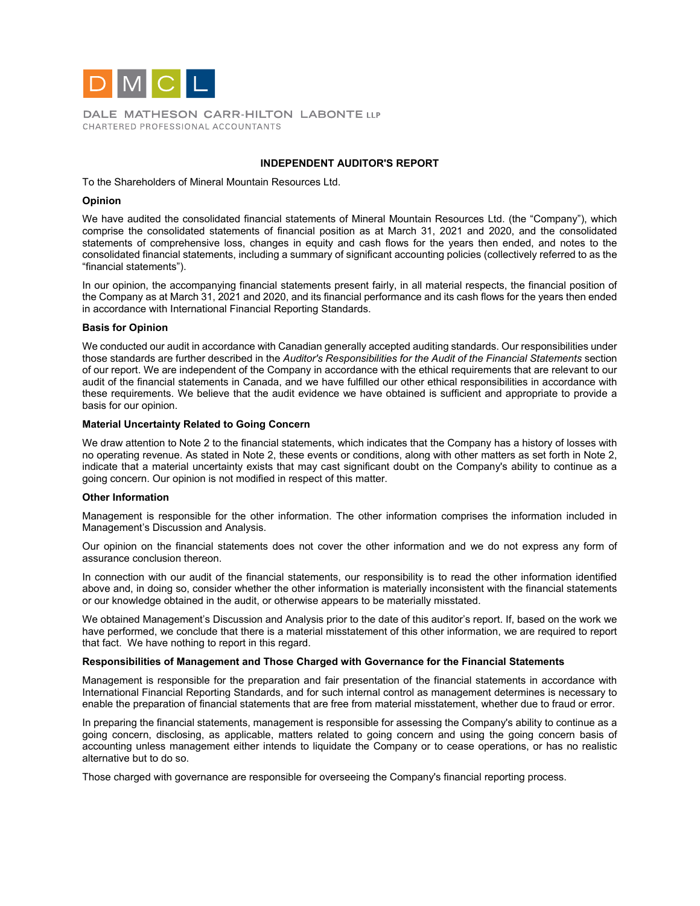

DALE MATHESON CARR-HILTON LABONTE LLP CHARTERED PROFESSIONAL ACCOUNTANTS

#### **INDEPENDENT AUDITOR'S REPORT**

#### To the Shareholders of Mineral Mountain Resources Ltd.

#### **Opinion**

We have audited the consolidated financial statements of Mineral Mountain Resources Ltd. (the "Company"), which comprise the consolidated statements of financial position as at March 31, 2021 and 2020, and the consolidated statements of comprehensive loss, changes in equity and cash flows for the years then ended, and notes to the consolidated financial statements, including a summary of significant accounting policies (collectively referred to as the "financial statements").

In our opinion, the accompanying financial statements present fairly, in all material respects, the financial position of the Company as at March 31, 2021 and 2020, and its financial performance and its cash flows for the years then ended in accordance with International Financial Reporting Standards.

#### **Basis for Opinion**

We conducted our audit in accordance with Canadian generally accepted auditing standards. Our responsibilities under those standards are further described in the *Auditor's Responsibilities for the Audit of the Financial Statements* section of our report. We are independent of the Company in accordance with the ethical requirements that are relevant to our audit of the financial statements in Canada, and we have fulfilled our other ethical responsibilities in accordance with these requirements. We believe that the audit evidence we have obtained is sufficient and appropriate to provide a basis for our opinion.

#### **Material Uncertainty Related to Going Concern**

We draw attention to Note 2 to the financial statements, which indicates that the Company has a history of losses with no operating revenue. As stated in Note 2, these events or conditions, along with other matters as set forth in Note 2, indicate that a material uncertainty exists that may cast significant doubt on the Company's ability to continue as a going concern. Our opinion is not modified in respect of this matter.

#### **Other Information**

Management is responsible for the other information. The other information comprises the information included in Management's Discussion and Analysis.

Our opinion on the financial statements does not cover the other information and we do not express any form of assurance conclusion thereon.

In connection with our audit of the financial statements, our responsibility is to read the other information identified above and, in doing so, consider whether the other information is materially inconsistent with the financial statements or our knowledge obtained in the audit, or otherwise appears to be materially misstated.

We obtained Management's Discussion and Analysis prior to the date of this auditor's report. If, based on the work we have performed, we conclude that there is a material misstatement of this other information, we are required to report that fact. We have nothing to report in this regard.

#### **Responsibilities of Management and Those Charged with Governance for the Financial Statements**

Management is responsible for the preparation and fair presentation of the financial statements in accordance with International Financial Reporting Standards, and for such internal control as management determines is necessary to enable the preparation of financial statements that are free from material misstatement, whether due to fraud or error.

In preparing the financial statements, management is responsible for assessing the Company's ability to continue as a going concern, disclosing, as applicable, matters related to going concern and using the going concern basis of accounting unless management either intends to liquidate the Company or to cease operations, or has no realistic alternative but to do so.

Those charged with governance are responsible for overseeing the Company's financial reporting process.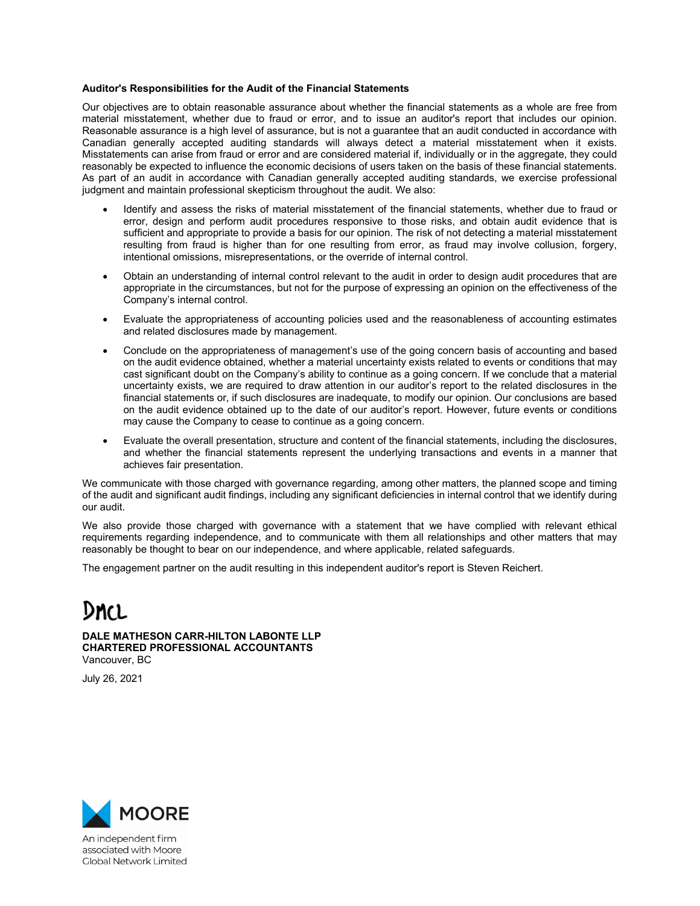#### **Auditor's Responsibilities for the Audit of the Financial Statements**

Our objectives are to obtain reasonable assurance about whether the financial statements as a whole are free from material misstatement, whether due to fraud or error, and to issue an auditor's report that includes our opinion. Reasonable assurance is a high level of assurance, but is not a guarantee that an audit conducted in accordance with Canadian generally accepted auditing standards will always detect a material misstatement when it exists. Misstatements can arise from fraud or error and are considered material if, individually or in the aggregate, they could reasonably be expected to influence the economic decisions of users taken on the basis of these financial statements. As part of an audit in accordance with Canadian generally accepted auditing standards, we exercise professional judgment and maintain professional skepticism throughout the audit. We also:

- Identify and assess the risks of material misstatement of the financial statements, whether due to fraud or error, design and perform audit procedures responsive to those risks, and obtain audit evidence that is sufficient and appropriate to provide a basis for our opinion. The risk of not detecting a material misstatement resulting from fraud is higher than for one resulting from error, as fraud may involve collusion, forgery, intentional omissions, misrepresentations, or the override of internal control.
- Obtain an understanding of internal control relevant to the audit in order to design audit procedures that are appropriate in the circumstances, but not for the purpose of expressing an opinion on the effectiveness of the Company's internal control.
- Evaluate the appropriateness of accounting policies used and the reasonableness of accounting estimates and related disclosures made by management.
- Conclude on the appropriateness of management's use of the going concern basis of accounting and based on the audit evidence obtained, whether a material uncertainty exists related to events or conditions that may cast significant doubt on the Company's ability to continue as a going concern. If we conclude that a material uncertainty exists, we are required to draw attention in our auditor's report to the related disclosures in the financial statements or, if such disclosures are inadequate, to modify our opinion. Our conclusions are based on the audit evidence obtained up to the date of our auditor's report. However, future events or conditions may cause the Company to cease to continue as a going concern.
- Evaluate the overall presentation, structure and content of the financial statements, including the disclosures, and whether the financial statements represent the underlying transactions and events in a manner that achieves fair presentation.

We communicate with those charged with governance regarding, among other matters, the planned scope and timing of the audit and significant audit findings, including any significant deficiencies in internal control that we identify during our audit.

We also provide those charged with governance with a statement that we have complied with relevant ethical requirements regarding independence, and to communicate with them all relationships and other matters that may reasonably be thought to bear on our independence, and where applicable, related safeguards.

The engagement partner on the audit resulting in this independent auditor's report is Steven Reichert.

# DMCL

**DALE MATHESON CARR-HILTON LABONTE LLP CHARTERED PROFESSIONAL ACCOUNTANTS** Vancouver, BC

July 26, 2021



An independent firm associated with Moore Global Network Limited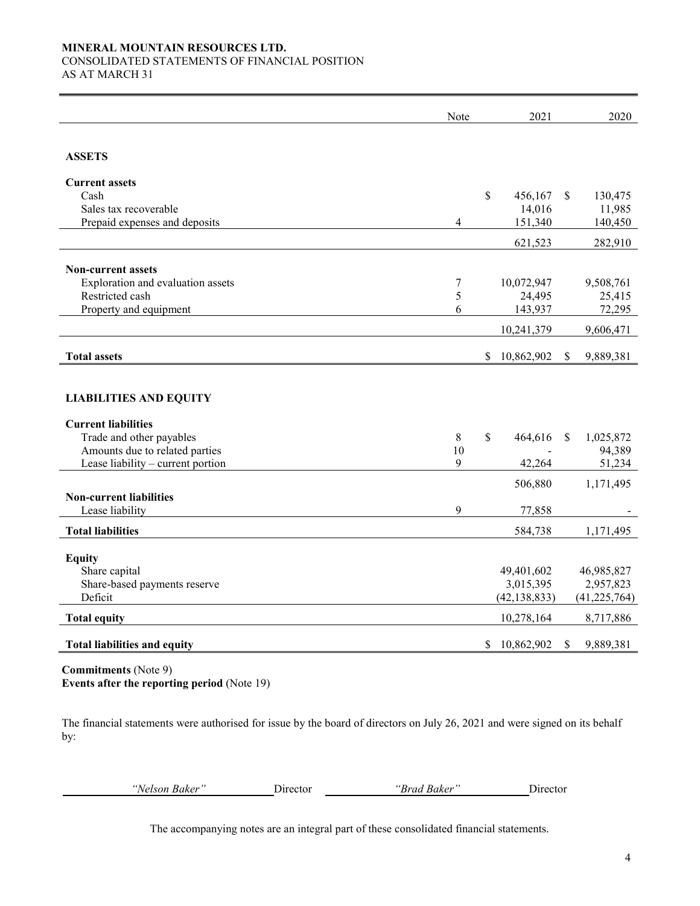# **MINERAL MOUNTAIN RESOURCES LTD.**

# CONSOLIDATED STATEMENTS OF FINANCIAL POSITION

AS AT MARCH 31

|                                                   | Note  | 2021             |              | 2020           |
|---------------------------------------------------|-------|------------------|--------------|----------------|
|                                                   |       |                  |              |                |
| <b>ASSETS</b>                                     |       |                  |              |                |
| <b>Current assets</b>                             |       |                  |              |                |
| Cash                                              |       | \$<br>456,167    | \$           | 130,475        |
| Sales tax recoverable                             |       | 14,016           |              | 11,985         |
| Prepaid expenses and deposits                     | 4     | 151,340          |              | 140,450        |
|                                                   |       | 621,523          |              | 282,910        |
| <b>Non-current assets</b>                         |       |                  |              |                |
| Exploration and evaluation assets                 | 7     | 10,072,947       |              | 9,508,761      |
| Restricted cash                                   | 5     | 24,495           |              | 25,415         |
| Property and equipment                            | 6     | 143,937          |              | 72,295         |
|                                                   |       | 10,241,379       |              | 9,606,471      |
|                                                   |       |                  |              |                |
| <b>Total assets</b>                               |       | \$<br>10,862,902 | \$           | 9,889,381      |
|                                                   |       |                  |              |                |
| <b>LIABILITIES AND EQUITY</b>                     |       |                  |              |                |
| <b>Current liabilities</b>                        |       |                  |              |                |
| Trade and other payables                          | $8\,$ | \$<br>464,616    | <sup>S</sup> | 1,025,872      |
| Amounts due to related parties                    | 10    |                  |              | 94,389         |
| Lease liability – current portion                 | 9     | 42,264           |              | 51,234         |
|                                                   |       | 506,880          |              | 1,171,495      |
| <b>Non-current liabilities</b><br>Lease liability | 9     | 77,858           |              |                |
| <b>Total liabilities</b>                          |       | 584,738          |              | 1,171,495      |
|                                                   |       |                  |              |                |
| <b>Equity</b>                                     |       |                  |              |                |
| Share capital                                     |       | 49,401,602       |              | 46,985,827     |
| Share-based payments reserve                      |       | 3,015,395        |              | 2,957,823      |
| Deficit                                           |       | (42, 138, 833)   |              | (41, 225, 764) |
| <b>Total equity</b>                               |       | 10,278,164       |              | 8,717,886      |
| <b>Total liabilities and equity</b>               |       | \$<br>10,862,902 | \$           | 9,889,381      |
|                                                   |       |                  |              |                |

**Commitments** (Note 9) **Events after the reporting period** (Note 19)

The financial statements were authorised for issue by the board of directors on July 26, 2021 and were signed on its behalf by:

*"Nelson Baker"* Director *"Brad Baker"* Director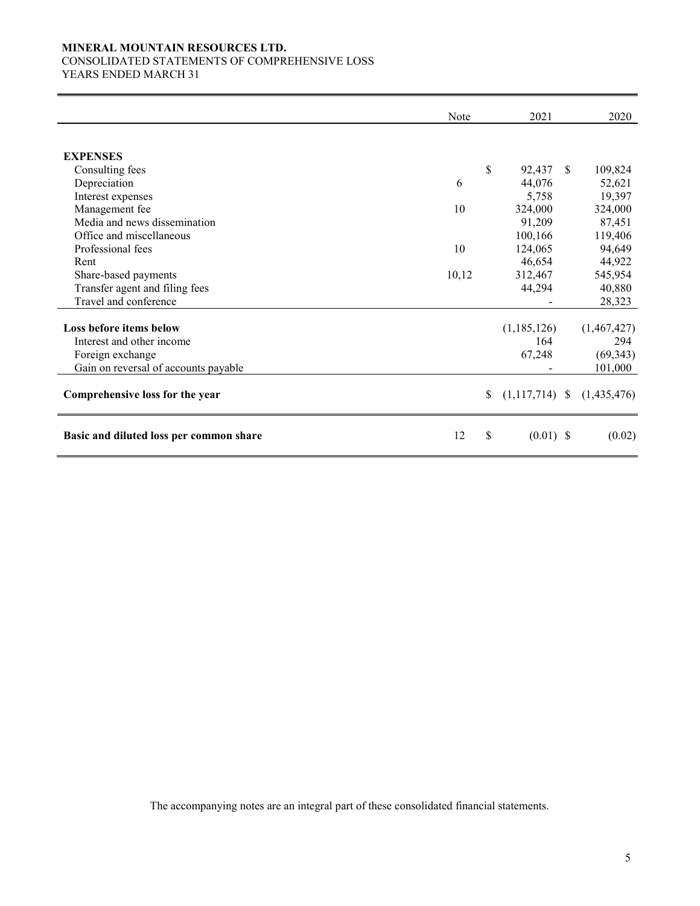# **MINERAL MOUNTAIN RESOURCES LTD.** CONSOLIDATED STATEMENTS OF COMPREHENSIVE LOSS

YEARS ENDED MARCH 31

|                                         | Note  | 2021                   |              | 2020        |
|-----------------------------------------|-------|------------------------|--------------|-------------|
|                                         |       |                        |              |             |
| <b>EXPENSES</b>                         |       |                        |              |             |
| Consulting fees                         |       | \$<br>92,437           | <sup>S</sup> | 109,824     |
| Depreciation                            | 6     | 44,076                 |              | 52,621      |
| Interest expenses                       |       | 5,758                  |              | 19,397      |
| Management fee                          | 10    | 324,000                |              | 324,000     |
| Media and news dissemination            |       | 91,209                 |              | 87,451      |
| Office and miscellaneous                |       | 100,166                |              | 119,406     |
| Professional fees                       | 10    | 124,065                |              | 94,649      |
| Rent                                    |       | 46,654                 |              | 44,922      |
| Share-based payments                    | 10,12 | 312,467                |              | 545,954     |
| Transfer agent and filing fees          |       | 44,294                 |              | 40,880      |
| Travel and conference                   |       |                        |              | 28,323      |
|                                         |       |                        |              |             |
| Loss before items below                 |       | (1,185,126)            |              | (1,467,427) |
| Interest and other income               |       | 164                    |              | 294         |
| Foreign exchange                        |       | 67,248                 |              | (69, 343)   |
| Gain on reversal of accounts payable    |       |                        |              | 101,000     |
|                                         |       |                        |              |             |
| Comprehensive loss for the year         |       | \$<br>$(1,117,714)$ \$ |              | (1,435,476) |
|                                         |       |                        |              |             |
| Basic and diluted loss per common share | 12    | \$<br>$(0.01)$ \$      |              | (0.02)      |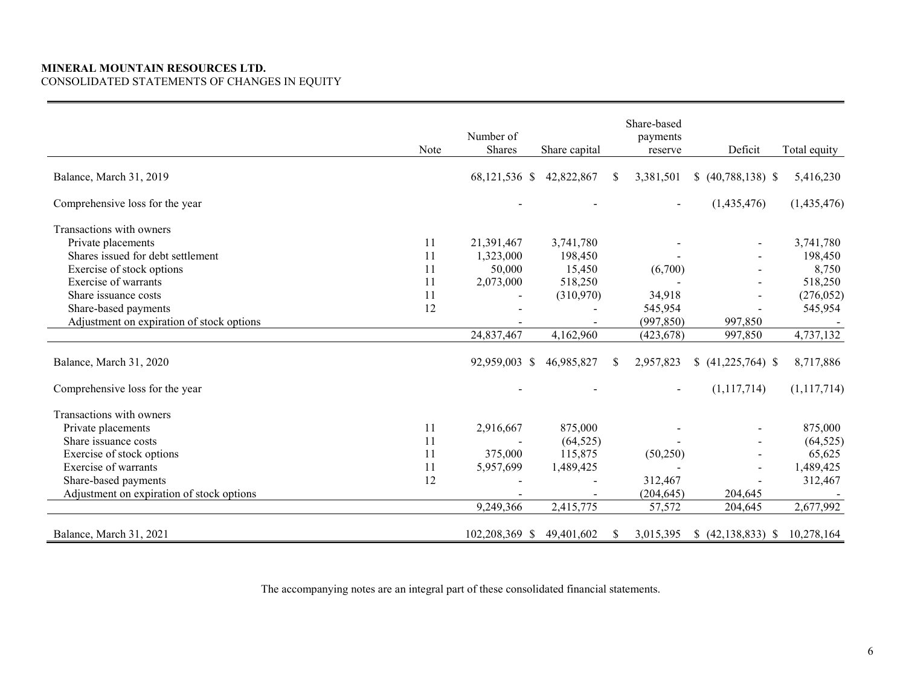# **MINERAL MOUNTAIN RESOURCES LTD.** CONSOLIDATED STATEMENTS OF CHANGES IN EQUITY

 $\sim$ 

|                                           | Note | Number of<br><b>Shares</b> | Share capital |               | Share-based<br>payments<br>reserve | Deficit              | Total equity  |
|-------------------------------------------|------|----------------------------|---------------|---------------|------------------------------------|----------------------|---------------|
| Balance, March 31, 2019                   |      | 68,121,536 \$              | 42,822,867    | <sup>\$</sup> | 3,381,501                          | $$ (40,788,138)$ \\$ | 5,416,230     |
| Comprehensive loss for the year           |      |                            |               |               |                                    | (1,435,476)          | (1,435,476)   |
| Transactions with owners                  |      |                            |               |               |                                    |                      |               |
| Private placements                        | 11   | 21,391,467                 | 3,741,780     |               |                                    |                      | 3,741,780     |
| Shares issued for debt settlement         | 11   | 1,323,000                  | 198,450       |               |                                    |                      | 198,450       |
| Exercise of stock options                 | 11   | 50,000                     | 15,450        |               | (6,700)                            |                      | 8,750         |
| Exercise of warrants                      | 11   | 2,073,000                  | 518,250       |               |                                    |                      | 518,250       |
| Share issuance costs                      | 11   | $\sim$                     | (310,970)     |               | 34,918                             |                      | (276, 052)    |
| Share-based payments                      | 12   |                            |               |               | 545,954                            |                      | 545,954       |
| Adjustment on expiration of stock options |      |                            |               |               | (997, 850)                         | 997,850              |               |
|                                           |      | 24,837,467                 | 4,162,960     |               | (423, 678)                         | 997,850              | 4,737,132     |
| Balance, March 31, 2020                   |      | 92,959,003 \$              | 46,985,827    | <sup>S</sup>  | 2,957,823                          | $(41,225,764)$ \$    | 8,717,886     |
| Comprehensive loss for the year           |      |                            |               |               |                                    | (1,117,714)          | (1, 117, 714) |
| Transactions with owners                  |      |                            |               |               |                                    |                      |               |
| Private placements                        | 11   | 2,916,667                  | 875,000       |               |                                    |                      | 875,000       |
| Share issuance costs                      | 11   |                            | (64, 525)     |               |                                    |                      | (64, 525)     |
| Exercise of stock options                 | 11   | 375,000                    | 115,875       |               | (50,250)                           |                      | 65,625        |
| Exercise of warrants                      | 11   | 5,957,699                  | 1,489,425     |               |                                    |                      | 1,489,425     |
| Share-based payments                      | 12   |                            |               |               | 312,467                            |                      | 312,467       |
| Adjustment on expiration of stock options |      |                            |               |               | (204, 645)                         | 204,645              |               |
|                                           |      | 9,249,366                  | 2,415,775     |               | 57,572                             | 204,645              | 2,677,992     |
| Balance, March 31, 2021                   |      | 102,208,369 \$             | 49,401,602    | <sup>S</sup>  | 3,015,395                          | $(42, 138, 833)$ \$  | 10,278,164    |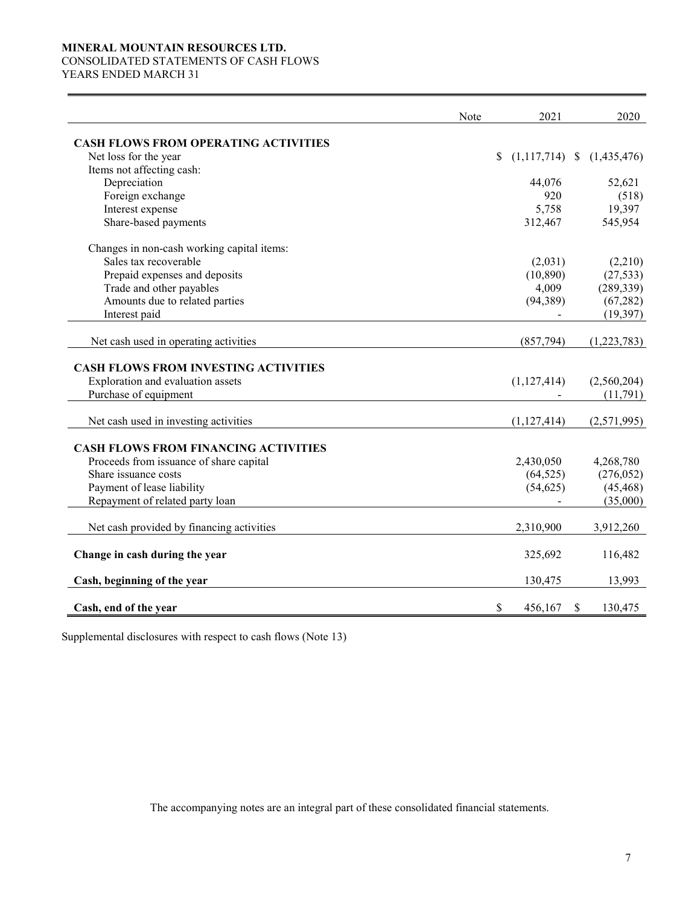# **MINERAL MOUNTAIN RESOURCES LTD.**

# CONSOLIDATED STATEMENTS OF CASH FLOWS

YEARS ENDED MARCH 31

|                                             | Note | 2021             | 2020          |
|---------------------------------------------|------|------------------|---------------|
| <b>CASH FLOWS FROM OPERATING ACTIVITIES</b> |      |                  |               |
| Net loss for the year                       | \$   | $(1,117,714)$ \$ | (1,435,476)   |
| Items not affecting cash:                   |      |                  |               |
| Depreciation                                |      | 44,076           | 52,621        |
| Foreign exchange                            |      | 920              | (518)         |
| Interest expense                            |      | 5,758            | 19,397        |
| Share-based payments                        |      | 312,467          | 545,954       |
| Changes in non-cash working capital items:  |      |                  |               |
| Sales tax recoverable                       |      | (2,031)          | (2,210)       |
| Prepaid expenses and deposits               |      | (10, 890)        | (27, 533)     |
| Trade and other payables                    |      | 4,009            | (289, 339)    |
| Amounts due to related parties              |      | (94, 389)        | (67, 282)     |
| Interest paid                               |      |                  | (19, 397)     |
|                                             |      |                  |               |
| Net cash used in operating activities       |      | (857,794)        | (1,223,783)   |
|                                             |      |                  |               |
| <b>CASH FLOWS FROM INVESTING ACTIVITIES</b> |      |                  |               |
| Exploration and evaluation assets           |      | (1, 127, 414)    | (2,560,204)   |
| Purchase of equipment                       |      |                  | (11,791)      |
| Net cash used in investing activities       |      | (1, 127, 414)    | (2,571,995)   |
|                                             |      |                  |               |
| <b>CASH FLOWS FROM FINANCING ACTIVITIES</b> |      |                  |               |
| Proceeds from issuance of share capital     |      | 2,430,050        | 4,268,780     |
| Share issuance costs                        |      | (64, 525)        | (276, 052)    |
| Payment of lease liability                  |      | (54, 625)        | (45, 468)     |
| Repayment of related party loan             |      |                  | (35,000)      |
| Net cash provided by financing activities   |      | 2,310,900        | 3,912,260     |
| Change in cash during the year              |      | 325,692          | 116,482       |
| Cash, beginning of the year                 |      | 130,475          | 13,993        |
| Cash, end of the year                       | \$   | 456,167          | \$<br>130,475 |

Supplemental disclosures with respect to cash flows (Note 13)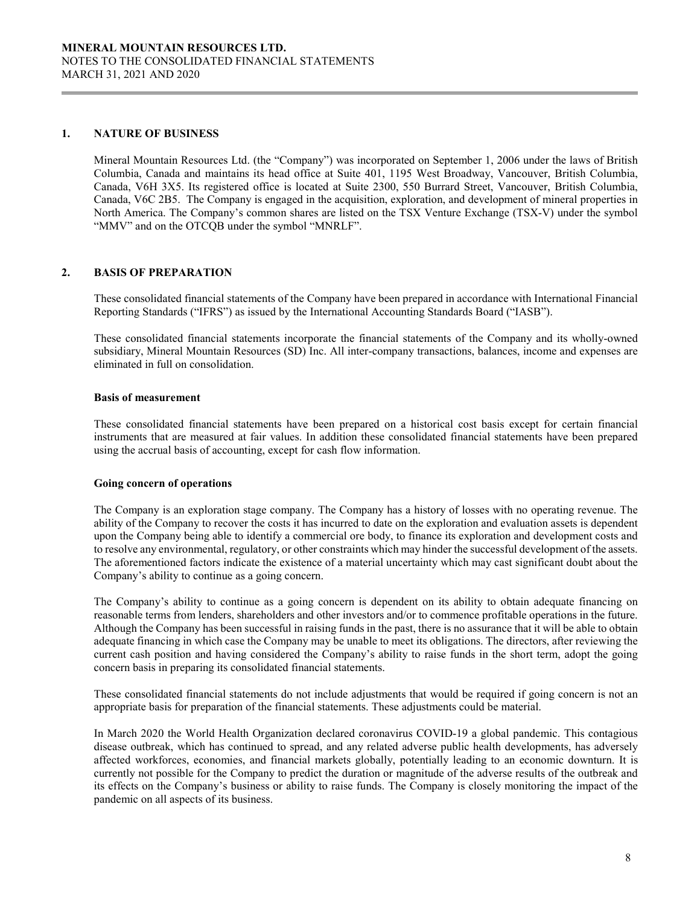#### **1. NATURE OF BUSINESS**

Mineral Mountain Resources Ltd. (the "Company") was incorporated on September 1, 2006 under the laws of British Columbia, Canada and maintains its head office at Suite 401, 1195 West Broadway, Vancouver, British Columbia, Canada, V6H 3X5. Its registered office is located at Suite 2300, 550 Burrard Street, Vancouver, British Columbia, Canada, V6C 2B5. The Company is engaged in the acquisition, exploration, and development of mineral properties in North America. The Company's common shares are listed on the TSX Venture Exchange (TSX-V) under the symbol "MMV" and on the OTCQB under the symbol "MNRLF".

# **2. BASIS OF PREPARATION**

These consolidated financial statements of the Company have been prepared in accordance with International Financial Reporting Standards ("IFRS") as issued by the International Accounting Standards Board ("IASB").

These consolidated financial statements incorporate the financial statements of the Company and its wholly-owned subsidiary, Mineral Mountain Resources (SD) Inc. All inter-company transactions, balances, income and expenses are eliminated in full on consolidation.

#### **Basis of measurement**

These consolidated financial statements have been prepared on a historical cost basis except for certain financial instruments that are measured at fair values. In addition these consolidated financial statements have been prepared using the accrual basis of accounting, except for cash flow information.

#### **Going concern of operations**

The Company is an exploration stage company. The Company has a history of losses with no operating revenue. The ability of the Company to recover the costs it has incurred to date on the exploration and evaluation assets is dependent upon the Company being able to identify a commercial ore body, to finance its exploration and development costs and to resolve any environmental, regulatory, or other constraints which may hinder the successful development of the assets. The aforementioned factors indicate the existence of a material uncertainty which may cast significant doubt about the Company's ability to continue as a going concern.

The Company's ability to continue as a going concern is dependent on its ability to obtain adequate financing on reasonable terms from lenders, shareholders and other investors and/or to commence profitable operations in the future. Although the Company has been successful in raising funds in the past, there is no assurance that it will be able to obtain adequate financing in which case the Company may be unable to meet its obligations. The directors, after reviewing the current cash position and having considered the Company's ability to raise funds in the short term, adopt the going concern basis in preparing its consolidated financial statements.

These consolidated financial statements do not include adjustments that would be required if going concern is not an appropriate basis for preparation of the financial statements. These adjustments could be material.

In March 2020 the World Health Organization declared coronavirus COVID-19 a global pandemic. This contagious disease outbreak, which has continued to spread, and any related adverse public health developments, has adversely affected workforces, economies, and financial markets globally, potentially leading to an economic downturn. It is currently not possible for the Company to predict the duration or magnitude of the adverse results of the outbreak and its effects on the Company's business or ability to raise funds. The Company is closely monitoring the impact of the pandemic on all aspects of its business.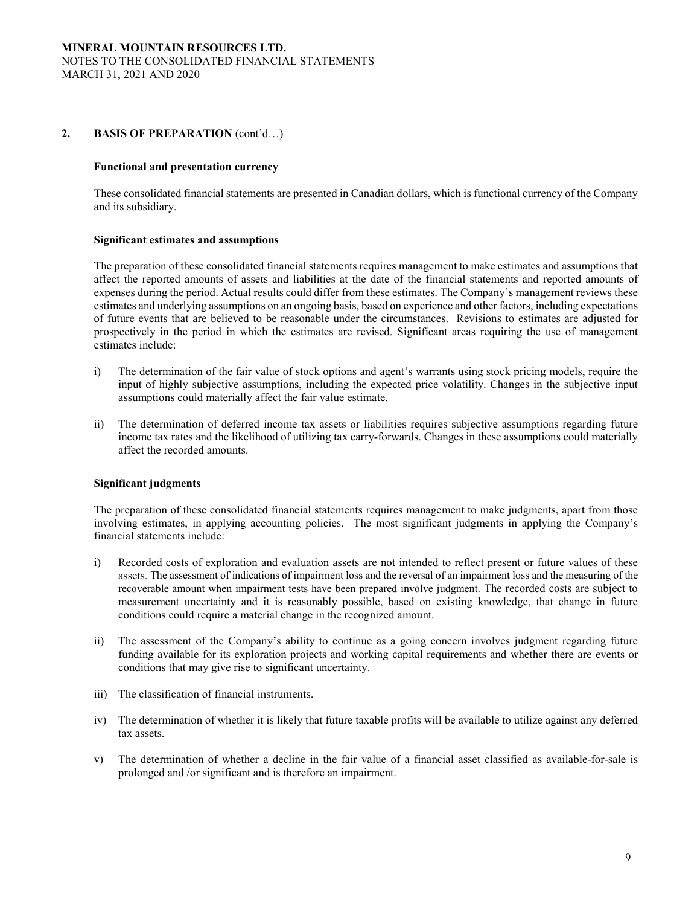# **2. BASIS OF PREPARATION** (cont'd…)

#### **Functional and presentation currency**

These consolidated financial statements are presented in Canadian dollars, which is functional currency of the Company and its subsidiary.

#### **Significant estimates and assumptions**

The preparation of these consolidated financial statements requires management to make estimates and assumptions that affect the reported amounts of assets and liabilities at the date of the financial statements and reported amounts of expenses during the period. Actual results could differ from these estimates. The Company's management reviews these estimates and underlying assumptions on an ongoing basis, based on experience and other factors, including expectations of future events that are believed to be reasonable under the circumstances. Revisions to estimates are adjusted for prospectively in the period in which the estimates are revised. Significant areas requiring the use of management estimates include:

- i) The determination of the fair value of stock options and agent's warrants using stock pricing models, require the input of highly subjective assumptions, including the expected price volatility. Changes in the subjective input assumptions could materially affect the fair value estimate.
- ii) The determination of deferred income tax assets or liabilities requires subjective assumptions regarding future income tax rates and the likelihood of utilizing tax carry-forwards. Changes in these assumptions could materially affect the recorded amounts.

# **Significant judgments**

The preparation of these consolidated financial statements requires management to make judgments, apart from those involving estimates, in applying accounting policies. The most significant judgments in applying the Company's financial statements include:

- i) Recorded costs of exploration and evaluation assets are not intended to reflect present or future values of these assets. The assessment of indications of impairment loss and the reversal of an impairment loss and the measuring of the recoverable amount when impairment tests have been prepared involve judgment. The recorded costs are subject to measurement uncertainty and it is reasonably possible, based on existing knowledge, that change in future conditions could require a material change in the recognized amount.
- ii) The assessment of the Company's ability to continue as a going concern involves judgment regarding future funding available for its exploration projects and working capital requirements and whether there are events or conditions that may give rise to significant uncertainty.
- iii) The classification of financial instruments.
- iv) The determination of whether it is likely that future taxable profits will be available to utilize against any deferred tax assets.
- v) The determination of whether a decline in the fair value of a financial asset classified as available-for-sale is prolonged and /or significant and is therefore an impairment.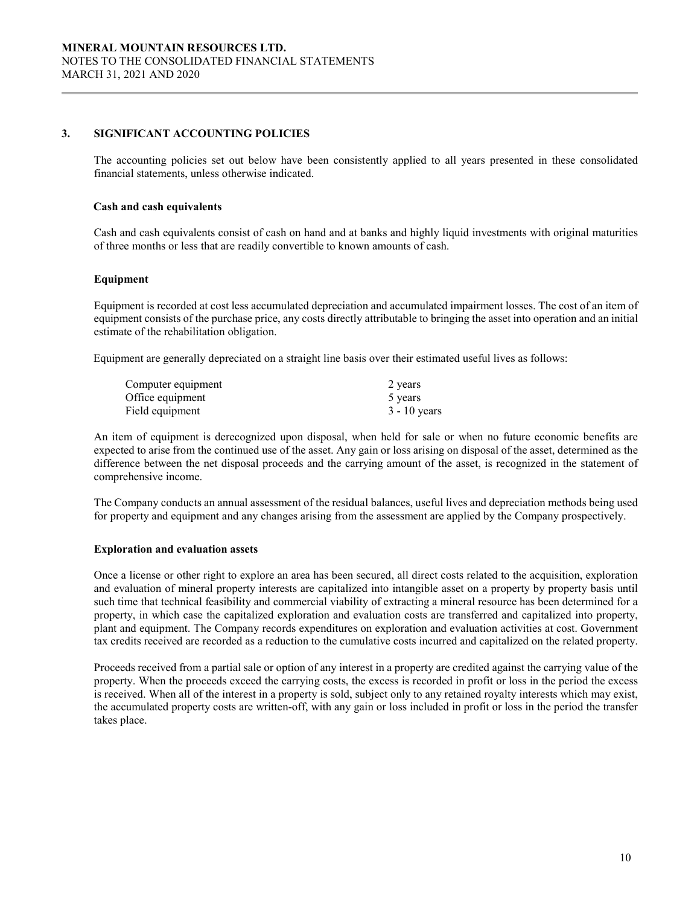# **3. SIGNIFICANT ACCOUNTING POLICIES**

The accounting policies set out below have been consistently applied to all years presented in these consolidated financial statements, unless otherwise indicated.

# **Cash and cash equivalents**

Cash and cash equivalents consist of cash on hand and at banks and highly liquid investments with original maturities of three months or less that are readily convertible to known amounts of cash.

#### **Equipment**

Equipment is recorded at cost less accumulated depreciation and accumulated impairment losses. The cost of an item of equipment consists of the purchase price, any costs directly attributable to bringing the asset into operation and an initial estimate of the rehabilitation obligation.

Equipment are generally depreciated on a straight line basis over their estimated useful lives as follows:

| Computer equipment | 2 years        |
|--------------------|----------------|
| Office equipment   | 5 years        |
| Field equipment    | $3 - 10$ years |

An item of equipment is derecognized upon disposal, when held for sale or when no future economic benefits are expected to arise from the continued use of the asset. Any gain or loss arising on disposal of the asset, determined as the difference between the net disposal proceeds and the carrying amount of the asset, is recognized in the statement of comprehensive income.

The Company conducts an annual assessment of the residual balances, useful lives and depreciation methods being used for property and equipment and any changes arising from the assessment are applied by the Company prospectively.

# **Exploration and evaluation assets**

Once a license or other right to explore an area has been secured, all direct costs related to the acquisition, exploration and evaluation of mineral property interests are capitalized into intangible asset on a property by property basis until such time that technical feasibility and commercial viability of extracting a mineral resource has been determined for a property, in which case the capitalized exploration and evaluation costs are transferred and capitalized into property, plant and equipment. The Company records expenditures on exploration and evaluation activities at cost. Government tax credits received are recorded as a reduction to the cumulative costs incurred and capitalized on the related property.

Proceeds received from a partial sale or option of any interest in a property are credited against the carrying value of the property. When the proceeds exceed the carrying costs, the excess is recorded in profit or loss in the period the excess is received. When all of the interest in a property is sold, subject only to any retained royalty interests which may exist, the accumulated property costs are written-off, with any gain or loss included in profit or loss in the period the transfer takes place.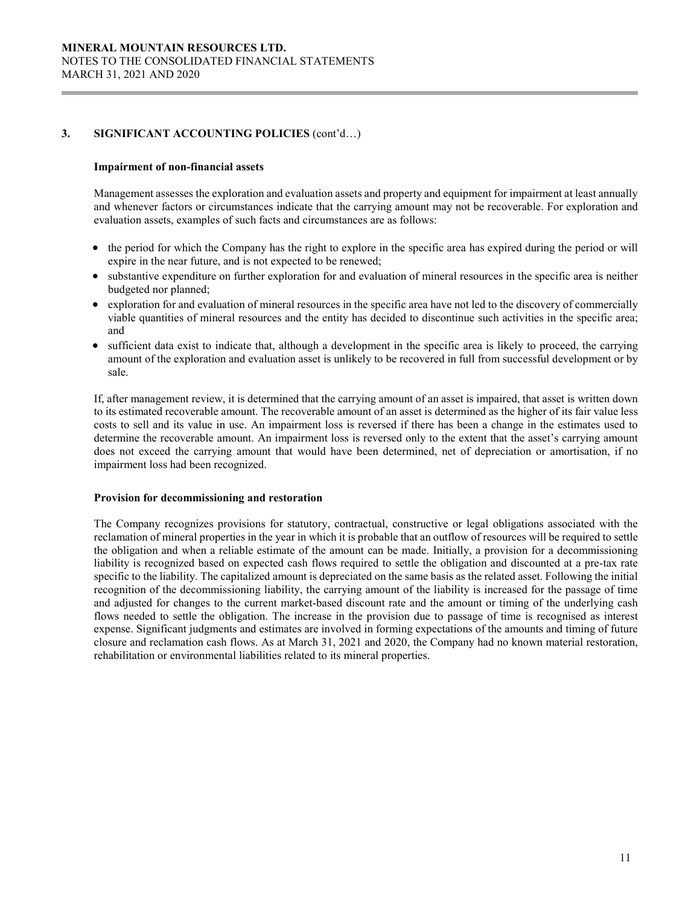# **3. SIGNIFICANT ACCOUNTING POLICIES** (cont'd…)

# **Impairment of non-financial assets**

Management assesses the exploration and evaluation assets and property and equipment for impairment at least annually and whenever factors or circumstances indicate that the carrying amount may not be recoverable. For exploration and evaluation assets, examples of such facts and circumstances are as follows:

- the period for which the Company has the right to explore in the specific area has expired during the period or will expire in the near future, and is not expected to be renewed;
- substantive expenditure on further exploration for and evaluation of mineral resources in the specific area is neither budgeted nor planned;
- exploration for and evaluation of mineral resources in the specific area have not led to the discovery of commercially viable quantities of mineral resources and the entity has decided to discontinue such activities in the specific area; and
- sufficient data exist to indicate that, although a development in the specific area is likely to proceed, the carrying amount of the exploration and evaluation asset is unlikely to be recovered in full from successful development or by sale.

If, after management review, it is determined that the carrying amount of an asset is impaired, that asset is written down to its estimated recoverable amount. The recoverable amount of an asset is determined as the higher of its fair value less costs to sell and its value in use. An impairment loss is reversed if there has been a change in the estimates used to determine the recoverable amount. An impairment loss is reversed only to the extent that the asset's carrying amount does not exceed the carrying amount that would have been determined, net of depreciation or amortisation, if no impairment loss had been recognized.

#### **Provision for decommissioning and restoration**

The Company recognizes provisions for statutory, contractual, constructive or legal obligations associated with the reclamation of mineral properties in the year in which it is probable that an outflow of resources will be required to settle the obligation and when a reliable estimate of the amount can be made. Initially, a provision for a decommissioning liability is recognized based on expected cash flows required to settle the obligation and discounted at a pre-tax rate specific to the liability. The capitalized amount is depreciated on the same basis as the related asset. Following the initial recognition of the decommissioning liability, the carrying amount of the liability is increased for the passage of time and adjusted for changes to the current market-based discount rate and the amount or timing of the underlying cash flows needed to settle the obligation. The increase in the provision due to passage of time is recognised as interest expense. Significant judgments and estimates are involved in forming expectations of the amounts and timing of future closure and reclamation cash flows. As at March 31, 2021 and 2020, the Company had no known material restoration, rehabilitation or environmental liabilities related to its mineral properties.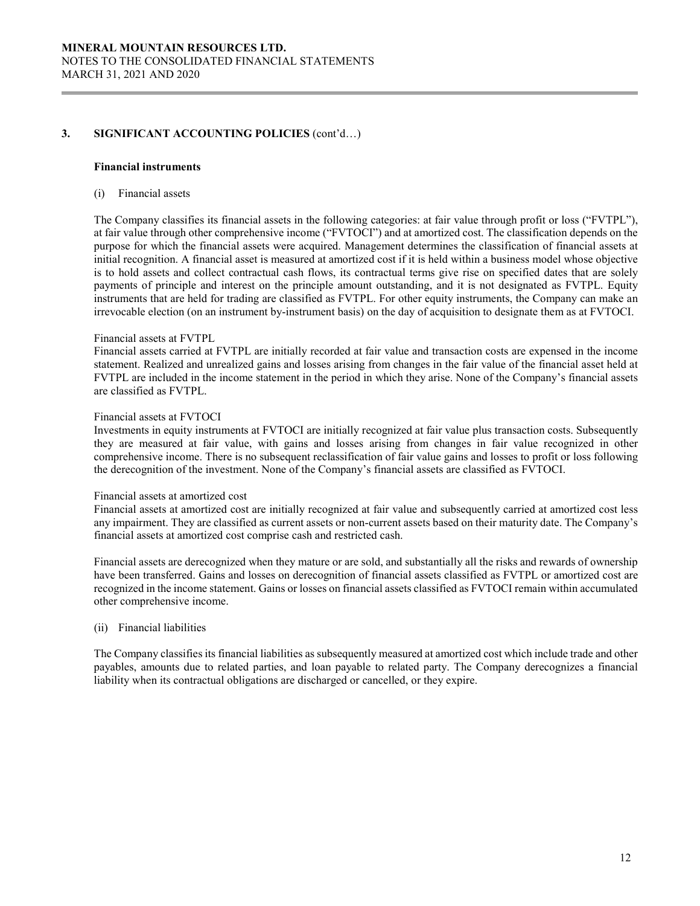# **3. SIGNIFICANT ACCOUNTING POLICIES** (cont'd…)

#### **Financial instruments**

#### (i) Financial assets

The Company classifies its financial assets in the following categories: at fair value through profit or loss ("FVTPL"), at fair value through other comprehensive income ("FVTOCI") and at amortized cost. The classification depends on the purpose for which the financial assets were acquired. Management determines the classification of financial assets at initial recognition. A financial asset is measured at amortized cost if it is held within a business model whose objective is to hold assets and collect contractual cash flows, its contractual terms give rise on specified dates that are solely payments of principle and interest on the principle amount outstanding, and it is not designated as FVTPL. Equity instruments that are held for trading are classified as FVTPL. For other equity instruments, the Company can make an irrevocable election (on an instrument by-instrument basis) on the day of acquisition to designate them as at FVTOCI.

#### Financial assets at FVTPL

Financial assets carried at FVTPL are initially recorded at fair value and transaction costs are expensed in the income statement. Realized and unrealized gains and losses arising from changes in the fair value of the financial asset held at FVTPL are included in the income statement in the period in which they arise. None of the Company's financial assets are classified as FVTPL.

#### Financial assets at FVTOCI

Investments in equity instruments at FVTOCI are initially recognized at fair value plus transaction costs. Subsequently they are measured at fair value, with gains and losses arising from changes in fair value recognized in other comprehensive income. There is no subsequent reclassification of fair value gains and losses to profit or loss following the derecognition of the investment. None of the Company's financial assets are classified as FVTOCI.

#### Financial assets at amortized cost

Financial assets at amortized cost are initially recognized at fair value and subsequently carried at amortized cost less any impairment. They are classified as current assets or non-current assets based on their maturity date. The Company's financial assets at amortized cost comprise cash and restricted cash.

Financial assets are derecognized when they mature or are sold, and substantially all the risks and rewards of ownership have been transferred. Gains and losses on derecognition of financial assets classified as FVTPL or amortized cost are recognized in the income statement. Gains or losses on financial assets classified as FVTOCI remain within accumulated other comprehensive income.

#### (ii) Financial liabilities

The Company classifies its financial liabilities as subsequently measured at amortized cost which include trade and other payables, amounts due to related parties, and loan payable to related party. The Company derecognizes a financial liability when its contractual obligations are discharged or cancelled, or they expire.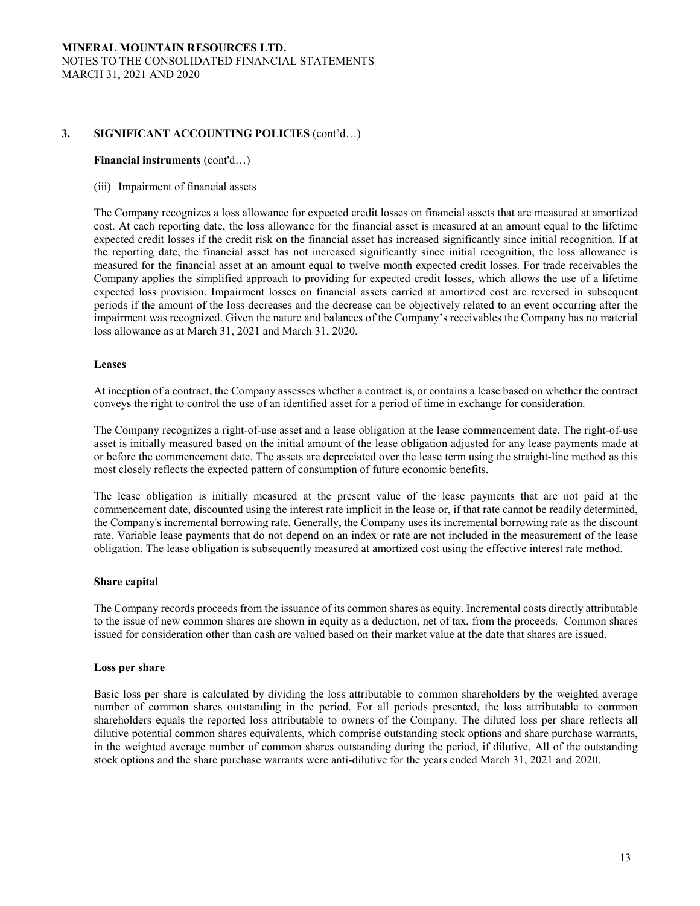# **3. SIGNIFICANT ACCOUNTING POLICIES** (cont'd…)

#### **Financial instruments** (cont'd…)

#### (iii) Impairment of financial assets

The Company recognizes a loss allowance for expected credit losses on financial assets that are measured at amortized cost. At each reporting date, the loss allowance for the financial asset is measured at an amount equal to the lifetime expected credit losses if the credit risk on the financial asset has increased significantly since initial recognition. If at the reporting date, the financial asset has not increased significantly since initial recognition, the loss allowance is measured for the financial asset at an amount equal to twelve month expected credit losses. For trade receivables the Company applies the simplified approach to providing for expected credit losses, which allows the use of a lifetime expected loss provision. Impairment losses on financial assets carried at amortized cost are reversed in subsequent periods if the amount of the loss decreases and the decrease can be objectively related to an event occurring after the impairment was recognized. Given the nature and balances of the Company's receivables the Company has no material loss allowance as at March 31, 2021 and March 31, 2020.

#### **Leases**

At inception of a contract, the Company assesses whether a contract is, or contains a lease based on whether the contract conveys the right to control the use of an identified asset for a period of time in exchange for consideration.

The Company recognizes a right-of-use asset and a lease obligation at the lease commencement date. The right-of-use asset is initially measured based on the initial amount of the lease obligation adjusted for any lease payments made at or before the commencement date. The assets are depreciated over the lease term using the straight-line method as this most closely reflects the expected pattern of consumption of future economic benefits.

The lease obligation is initially measured at the present value of the lease payments that are not paid at the commencement date, discounted using the interest rate implicit in the lease or, if that rate cannot be readily determined, the Company's incremental borrowing rate. Generally, the Company uses its incremental borrowing rate as the discount rate. Variable lease payments that do not depend on an index or rate are not included in the measurement of the lease obligation. The lease obligation is subsequently measured at amortized cost using the effective interest rate method.

#### **Share capital**

The Company records proceeds from the issuance of its common shares as equity. Incremental costs directly attributable to the issue of new common shares are shown in equity as a deduction, net of tax, from the proceeds. Common shares issued for consideration other than cash are valued based on their market value at the date that shares are issued.

#### **Loss per share**

Basic loss per share is calculated by dividing the loss attributable to common shareholders by the weighted average number of common shares outstanding in the period. For all periods presented, the loss attributable to common shareholders equals the reported loss attributable to owners of the Company. The diluted loss per share reflects all dilutive potential common shares equivalents, which comprise outstanding stock options and share purchase warrants, in the weighted average number of common shares outstanding during the period, if dilutive. All of the outstanding stock options and the share purchase warrants were anti-dilutive for the years ended March 31, 2021 and 2020.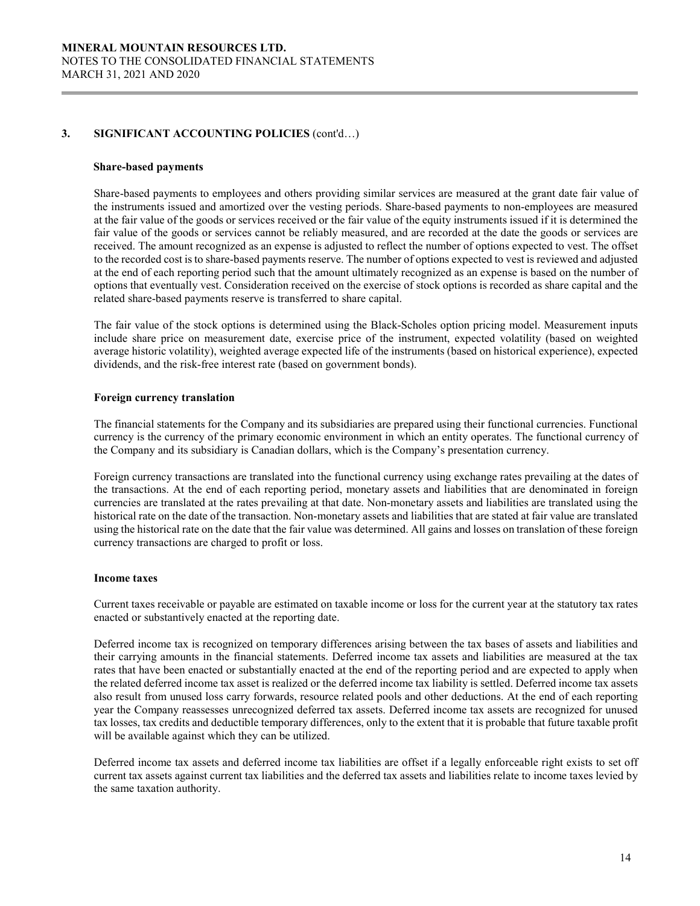# **3. SIGNIFICANT ACCOUNTING POLICIES** (cont'd…)

#### **Share-based payments**

Share-based payments to employees and others providing similar services are measured at the grant date fair value of the instruments issued and amortized over the vesting periods. Share-based payments to non-employees are measured at the fair value of the goods or services received or the fair value of the equity instruments issued if it is determined the fair value of the goods or services cannot be reliably measured, and are recorded at the date the goods or services are received. The amount recognized as an expense is adjusted to reflect the number of options expected to vest. The offset to the recorded cost is to share-based payments reserve. The number of options expected to vest is reviewed and adjusted at the end of each reporting period such that the amount ultimately recognized as an expense is based on the number of options that eventually vest. Consideration received on the exercise of stock options is recorded as share capital and the related share-based payments reserve is transferred to share capital.

The fair value of the stock options is determined using the Black-Scholes option pricing model. Measurement inputs include share price on measurement date, exercise price of the instrument, expected volatility (based on weighted average historic volatility), weighted average expected life of the instruments (based on historical experience), expected dividends, and the risk-free interest rate (based on government bonds).

#### **Foreign currency translation**

The financial statements for the Company and its subsidiaries are prepared using their functional currencies. Functional currency is the currency of the primary economic environment in which an entity operates. The functional currency of the Company and its subsidiary is Canadian dollars, which is the Company's presentation currency.

Foreign currency transactions are translated into the functional currency using exchange rates prevailing at the dates of the transactions. At the end of each reporting period, monetary assets and liabilities that are denominated in foreign currencies are translated at the rates prevailing at that date. Non-monetary assets and liabilities are translated using the historical rate on the date of the transaction. Non-monetary assets and liabilities that are stated at fair value are translated using the historical rate on the date that the fair value was determined. All gains and losses on translation of these foreign currency transactions are charged to profit or loss.

# **Income taxes**

Current taxes receivable or payable are estimated on taxable income or loss for the current year at the statutory tax rates enacted or substantively enacted at the reporting date.

Deferred income tax is recognized on temporary differences arising between the tax bases of assets and liabilities and their carrying amounts in the financial statements. Deferred income tax assets and liabilities are measured at the tax rates that have been enacted or substantially enacted at the end of the reporting period and are expected to apply when the related deferred income tax asset is realized or the deferred income tax liability is settled. Deferred income tax assets also result from unused loss carry forwards, resource related pools and other deductions. At the end of each reporting year the Company reassesses unrecognized deferred tax assets. Deferred income tax assets are recognized for unused tax losses, tax credits and deductible temporary differences, only to the extent that it is probable that future taxable profit will be available against which they can be utilized.

Deferred income tax assets and deferred income tax liabilities are offset if a legally enforceable right exists to set off current tax assets against current tax liabilities and the deferred tax assets and liabilities relate to income taxes levied by the same taxation authority.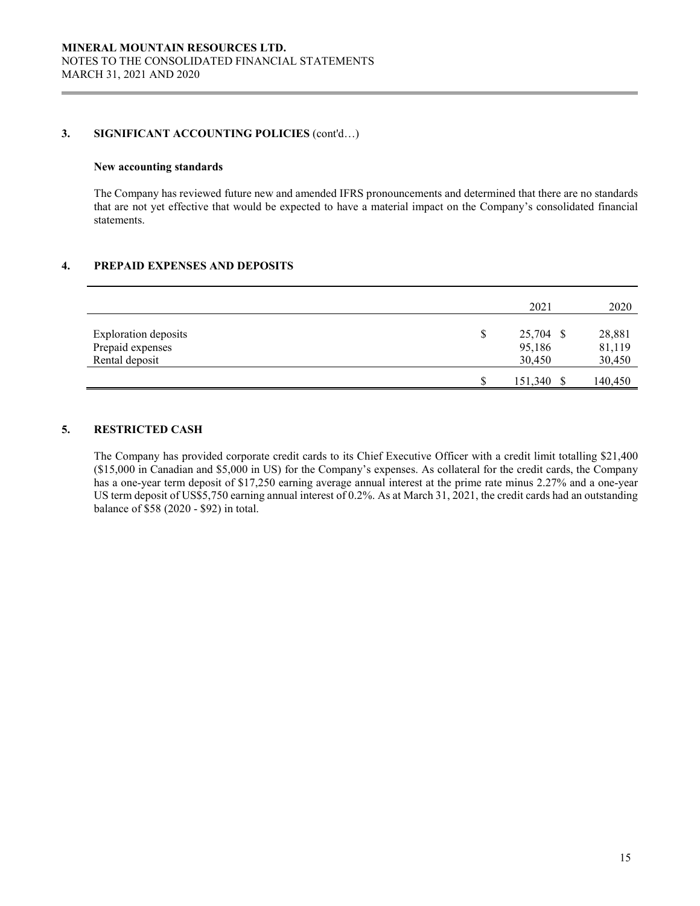# **3. SIGNIFICANT ACCOUNTING POLICIES** (cont'd…)

#### **New accounting standards**

The Company has reviewed future new and amended IFRS pronouncements and determined that there are no standards that are not yet effective that would be expected to have a material impact on the Company's consolidated financial statements.

# **4. PREPAID EXPENSES AND DEPOSITS**

|                                                 |   | 2021                | 2020             |
|-------------------------------------------------|---|---------------------|------------------|
| <b>Exploration deposits</b><br>Prepaid expenses | S | 25,704 \$<br>95,186 | 28,881<br>81,119 |
| Rental deposit                                  |   | 30,450              | 30,450           |
|                                                 | S | 151,340 \$          | 140,450          |

# **5. RESTRICTED CASH**

The Company has provided corporate credit cards to its Chief Executive Officer with a credit limit totalling \$21,400 (\$15,000 in Canadian and \$5,000 in US) for the Company's expenses. As collateral for the credit cards, the Company has a one-year term deposit of \$17,250 earning average annual interest at the prime rate minus 2.27% and a one-year US term deposit of US\$5,750 earning annual interest of 0.2%. As at March 31, 2021, the credit cards had an outstanding balance of \$58 (2020 - \$92) in total.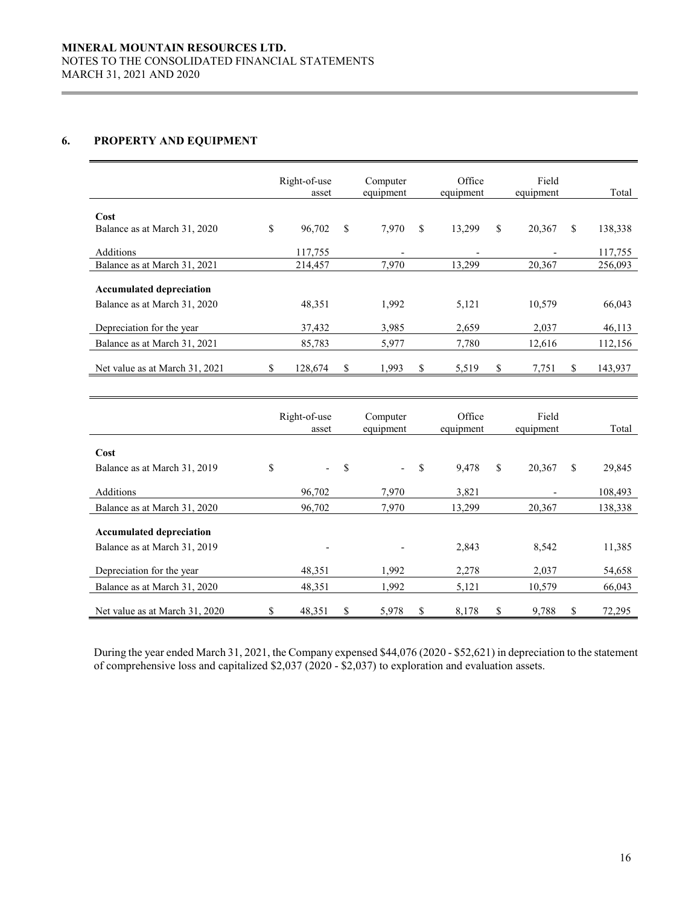# **6. PROPERTY AND EQUIPMENT**

|                                 | Right-of-use<br>asset |    | Computer<br>equipment    |    | Office<br>equipment | Field<br>equipment | Total         |
|---------------------------------|-----------------------|----|--------------------------|----|---------------------|--------------------|---------------|
| Cost                            |                       |    |                          |    |                     |                    |               |
| Balance as at March 31, 2020    | \$<br>96,702          | \$ | 7,970                    | \$ | 13,299              | \$<br>20,367       | \$<br>138,338 |
| Additions                       | 117,755               |    | $\overline{\phantom{a}}$ |    |                     |                    | 117,755       |
| Balance as at March 31, 2021    | 214,457               |    | 7.970                    |    | 13.299              | 20,367             | 256,093       |
| <b>Accumulated depreciation</b> |                       |    |                          |    |                     |                    |               |
| Balance as at March 31, 2020    | 48,351                |    | 1,992                    |    | 5,121               | 10,579             | 66,043        |
| Depreciation for the year       | 37.432                |    | 3.985                    |    | 2,659               | 2.037              | 46,113        |
| Balance as at March 31, 2021    | 85,783                |    | 5,977                    |    | 7,780               | 12,616             | 112,156       |
| Net value as at March 31, 2021  | \$<br>128,674         | S  | 1,993                    | S  | 5,519               | \$<br>7,751        | \$<br>143,937 |

|                                 | Right-of-use<br>asset          | Computer<br>equipment    | Office<br>equipment | Field<br>equipment | Total        |
|---------------------------------|--------------------------------|--------------------------|---------------------|--------------------|--------------|
| Cost                            |                                |                          |                     |                    |              |
| Balance as at March 31, 2019    | \$<br>$\overline{\phantom{a}}$ | \$<br>$\sim$             | \$<br>9,478         | \$<br>20,367       | \$<br>29,845 |
| Additions                       | 96,702                         | 7,970                    | 3,821               | $\qquad \qquad$    | 108,493      |
| Balance as at March 31, 2020    | 96,702                         | 7,970                    | 13,299              | 20,367             | 138,338      |
| <b>Accumulated depreciation</b> |                                |                          |                     |                    |              |
| Balance as at March 31, 2019    | $\overline{\phantom{a}}$       | $\overline{\phantom{0}}$ | 2,843               | 8,542              | 11,385       |
| Depreciation for the year       | 48,351                         | 1,992                    | 2,278               | 2,037              | 54,658       |
| Balance as at March 31, 2020    | 48,351                         | 1,992                    | 5,121               | 10,579             | 66,043       |
| Net value as at March 31, 2020  | \$<br>48,351                   | \$<br>5,978              | \$<br>8,178         | \$<br>9,788        | \$<br>72,295 |

During the year ended March 31, 2021, the Company expensed \$44,076 (2020 - \$52,621) in depreciation to the statement of comprehensive loss and capitalized \$2,037 (2020 - \$2,037) to exploration and evaluation assets.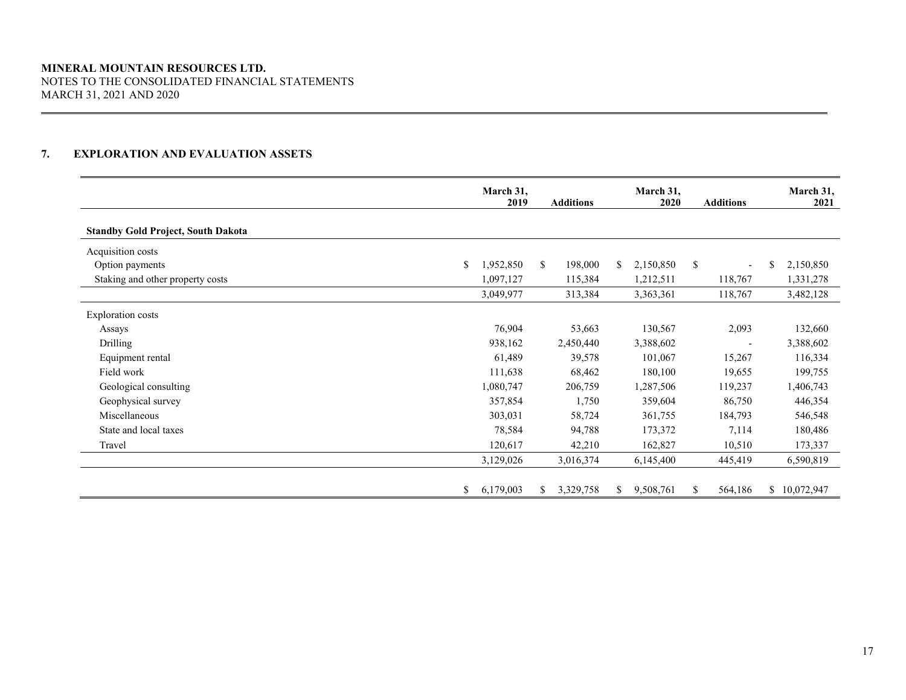# **7. EXPLORATION AND EVALUATION ASSETS**

|                                           | March 31,<br>2019 |    | <b>Additions</b> |    | March 31,<br>2020 |               | <b>Additions</b>         | March 31,<br>2021 |
|-------------------------------------------|-------------------|----|------------------|----|-------------------|---------------|--------------------------|-------------------|
| <b>Standby Gold Project, South Dakota</b> |                   |    |                  |    |                   |               |                          |                   |
| Acquisition costs                         |                   |    |                  |    |                   |               |                          |                   |
| \$<br>Option payments                     | 1,952,850         | \$ | 198,000          | \$ | 2,150,850         | <sup>\$</sup> | $\overline{\phantom{0}}$ | \$<br>2,150,850   |
| Staking and other property costs          | 1,097,127         |    | 115,384          |    | 1,212,511         |               | 118,767                  | 1,331,278         |
|                                           | 3,049,977         |    | 313,384          |    | 3,363,361         |               | 118,767                  | 3,482,128         |
| <b>Exploration</b> costs                  |                   |    |                  |    |                   |               |                          |                   |
| Assays                                    | 76,904            |    | 53,663           |    | 130,567           |               | 2,093                    | 132,660           |
| Drilling                                  | 938,162           |    | 2,450,440        |    | 3,388,602         |               | $\overline{\phantom{a}}$ | 3,388,602         |
| Equipment rental                          | 61,489            |    | 39,578           |    | 101,067           |               | 15,267                   | 116,334           |
| Field work                                | 111,638           |    | 68,462           |    | 180,100           |               | 19,655                   | 199,755           |
| Geological consulting                     | 1,080,747         |    | 206,759          |    | 1,287,506         |               | 119,237                  | 1,406,743         |
| Geophysical survey                        | 357,854           |    | 1,750            |    | 359,604           |               | 86,750                   | 446,354           |
| Miscellaneous                             | 303,031           |    | 58,724           |    | 361,755           |               | 184,793                  | 546,548           |
| State and local taxes                     | 78,584            |    | 94,788           |    | 173,372           |               | 7,114                    | 180,486           |
| Travel                                    | 120,617           |    | 42,210           |    | 162,827           |               | 10,510                   | 173,337           |
|                                           | 3,129,026         |    | 3,016,374        |    | 6,145,400         |               | 445,419                  | 6,590,819         |
| \$                                        | 6,179,003         | S. | 3,329,758        | S. | 9,508,761         | <sup>\$</sup> | 564,186                  | \$10,072,947      |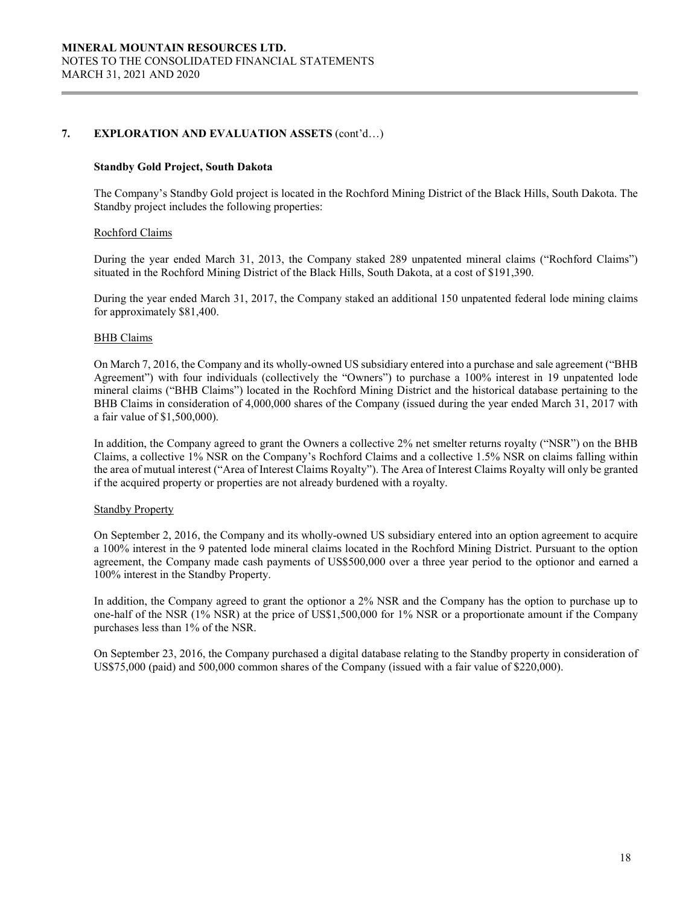# **7. EXPLORATION AND EVALUATION ASSETS** (cont'd…)

# **Standby Gold Project, South Dakota**

The Company's Standby Gold project is located in the Rochford Mining District of the Black Hills, South Dakota. The Standby project includes the following properties:

#### Rochford Claims

During the year ended March 31, 2013, the Company staked 289 unpatented mineral claims ("Rochford Claims") situated in the Rochford Mining District of the Black Hills, South Dakota, at a cost of \$191,390.

During the year ended March 31, 2017, the Company staked an additional 150 unpatented federal lode mining claims for approximately \$81,400.

#### BHB Claims

On March 7, 2016, the Company and its wholly-owned US subsidiary entered into a purchase and sale agreement ("BHB Agreement") with four individuals (collectively the "Owners") to purchase a 100% interest in 19 unpatented lode mineral claims ("BHB Claims") located in the Rochford Mining District and the historical database pertaining to the BHB Claims in consideration of 4,000,000 shares of the Company (issued during the year ended March 31, 2017 with a fair value of \$1,500,000).

In addition, the Company agreed to grant the Owners a collective 2% net smelter returns royalty ("NSR") on the BHB Claims, a collective 1% NSR on the Company's Rochford Claims and a collective 1.5% NSR on claims falling within the area of mutual interest ("Area of Interest Claims Royalty"). The Area of Interest Claims Royalty will only be granted if the acquired property or properties are not already burdened with a royalty.

#### **Standby Property**

On September 2, 2016, the Company and its wholly-owned US subsidiary entered into an option agreement to acquire a 100% interest in the 9 patented lode mineral claims located in the Rochford Mining District. Pursuant to the option agreement, the Company made cash payments of US\$500,000 over a three year period to the optionor and earned a 100% interest in the Standby Property.

In addition, the Company agreed to grant the optionor a 2% NSR and the Company has the option to purchase up to one-half of the NSR (1% NSR) at the price of US\$1,500,000 for 1% NSR or a proportionate amount if the Company purchases less than 1% of the NSR.

On September 23, 2016, the Company purchased a digital database relating to the Standby property in consideration of US\$75,000 (paid) and 500,000 common shares of the Company (issued with a fair value of \$220,000).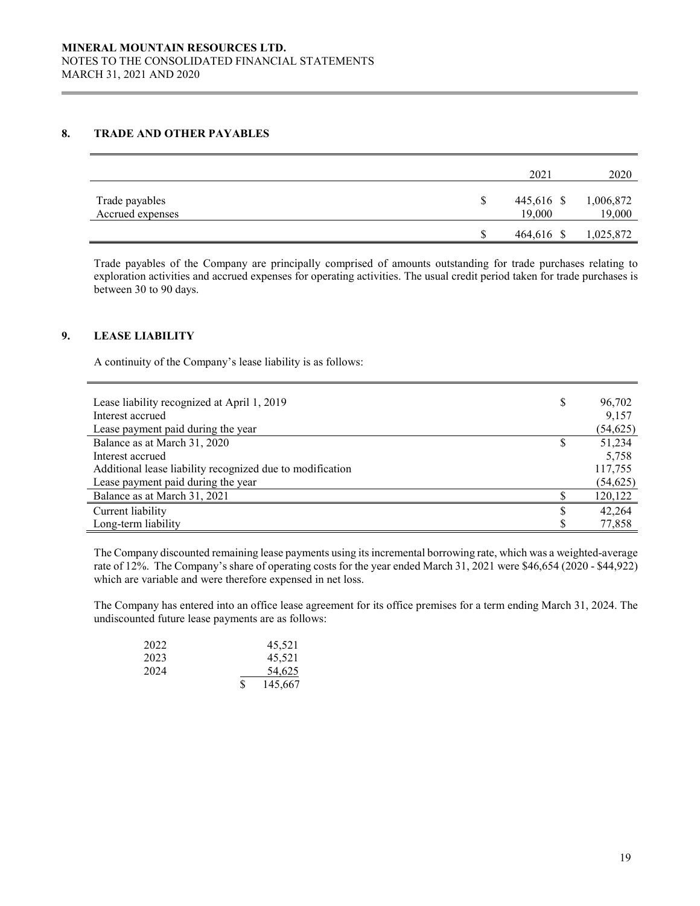# **8. TRADE AND OTHER PAYABLES**

|                                    |   | 2021                 | 2020                |
|------------------------------------|---|----------------------|---------------------|
| Trade payables<br>Accrued expenses | S | 445,616 \$<br>19,000 | 1,006,872<br>19,000 |
|                                    |   | 464,616 \$           | 1,025,872           |

Trade payables of the Company are principally comprised of amounts outstanding for trade purchases relating to exploration activities and accrued expenses for operating activities. The usual credit period taken for trade purchases is between 30 to 90 days.

# **9. LEASE LIABILITY**

A continuity of the Company's lease liability is as follows:

| Lease liability recognized at April 1, 2019               | S | 96,702    |
|-----------------------------------------------------------|---|-----------|
| Interest accrued                                          |   | 9,157     |
| Lease payment paid during the year                        |   | (54, 625) |
| Balance as at March 31, 2020                              | D | 51,234    |
| Interest accrued                                          |   | 5,758     |
| Additional lease liability recognized due to modification |   | 117,755   |
| Lease payment paid during the year                        |   | (54, 625) |
| Balance as at March 31, 2021                              |   | 120,122   |
| Current liability                                         |   | 42,264    |
| Long-term liability                                       |   | 77,858    |

The Company discounted remaining lease payments using its incremental borrowing rate, which was a weighted-average rate of 12%. The Company's share of operating costs for the year ended March 31, 2021 were \$46,654 (2020 - \$44,922) which are variable and were therefore expensed in net loss.

The Company has entered into an office lease agreement for its office premises for a term ending March 31, 2024. The undiscounted future lease payments are as follows:

| 2022 | 45,521  |
|------|---------|
| 2023 | 45,521  |
| 2024 | 54,625  |
|      | 145,667 |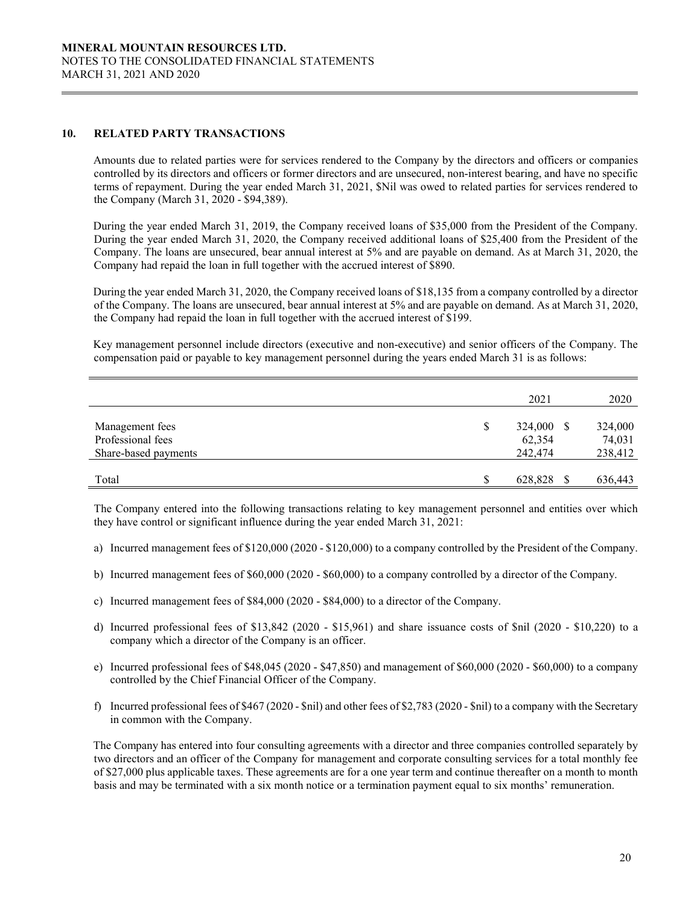# **10. RELATED PARTY TRANSACTIONS**

Amounts due to related parties were for services rendered to the Company by the directors and officers or companies controlled by its directors and officers or former directors and are unsecured, non-interest bearing, and have no specific terms of repayment. During the year ended March 31, 2021, \$Nil was owed to related parties for services rendered to the Company (March 31, 2020 - \$94,389).

During the year ended March 31, 2019, the Company received loans of \$35,000 from the President of the Company. During the year ended March 31, 2020, the Company received additional loans of \$25,400 from the President of the Company. The loans are unsecured, bear annual interest at 5% and are payable on demand. As at March 31, 2020, the Company had repaid the loan in full together with the accrued interest of \$890.

During the year ended March 31, 2020, the Company received loans of \$18,135 from a company controlled by a director of the Company. The loans are unsecured, bear annual interest at 5% and are payable on demand. As at March 31, 2020, the Company had repaid the loan in full together with the accrued interest of \$199.

Key management personnel include directors (executive and non-executive) and senior officers of the Company. The compensation paid or payable to key management personnel during the years ended March 31 is as follows:

|                      | 2021             | 2020    |
|----------------------|------------------|---------|
|                      |                  |         |
| Management fees      | \$<br>324,000 \$ | 324,000 |
| Professional fees    | 62,354           | 74,031  |
| Share-based payments | 242,474          | 238,412 |
|                      |                  |         |
| Total                | \$<br>628,828    | 636,443 |

The Company entered into the following transactions relating to key management personnel and entities over which they have control or significant influence during the year ended March 31, 2021:

- a) Incurred management fees of \$120,000 (2020 \$120,000) to a company controlled by the President of the Company.
- b) Incurred management fees of \$60,000 (2020 \$60,000) to a company controlled by a director of the Company.
- c) Incurred management fees of \$84,000 (2020 \$84,000) to a director of the Company.
- d) Incurred professional fees of \$13,842 (2020 \$15,961) and share issuance costs of \$nil (2020 \$10,220) to a company which a director of the Company is an officer.
- e) Incurred professional fees of \$48,045 (2020 \$47,850) and management of \$60,000 (2020 \$60,000) to a company controlled by the Chief Financial Officer of the Company.
- f) Incurred professional fees of \$467 (2020 \$nil) and other fees of \$2,783 (2020 \$nil) to a company with the Secretary in common with the Company.

The Company has entered into four consulting agreements with a director and three companies controlled separately by two directors and an officer of the Company for management and corporate consulting services for a total monthly fee of \$27,000 plus applicable taxes. These agreements are for a one year term and continue thereafter on a month to month basis and may be terminated with a six month notice or a termination payment equal to six months' remuneration.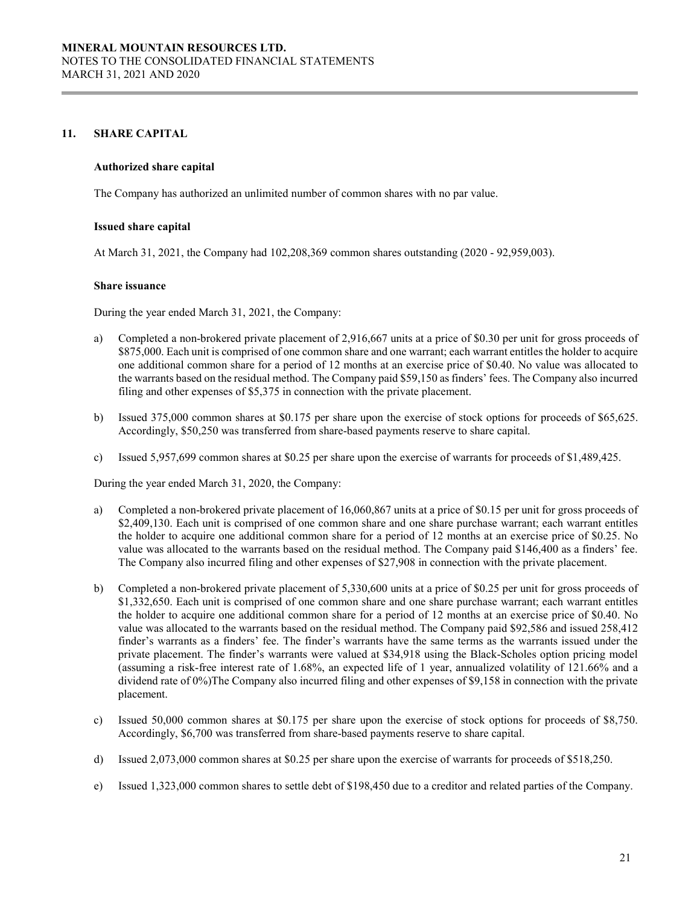# **11. SHARE CAPITAL**

#### **Authorized share capital**

The Company has authorized an unlimited number of common shares with no par value.

#### **Issued share capital**

At March 31, 2021, the Company had 102,208,369 common shares outstanding (2020 - 92,959,003).

#### **Share issuance**

During the year ended March 31, 2021, the Company:

- a) Completed a non-brokered private placement of 2,916,667 units at a price of \$0.30 per unit for gross proceeds of \$875,000. Each unit is comprised of one common share and one warrant; each warrant entitles the holder to acquire one additional common share for a period of 12 months at an exercise price of \$0.40. No value was allocated to the warrants based on the residual method. The Company paid \$59,150 as finders' fees. The Company also incurred filing and other expenses of \$5,375 in connection with the private placement.
- b) Issued 375,000 common shares at \$0.175 per share upon the exercise of stock options for proceeds of \$65,625. Accordingly, \$50,250 was transferred from share-based payments reserve to share capital.
- c) Issued 5,957,699 common shares at \$0.25 per share upon the exercise of warrants for proceeds of \$1,489,425.

During the year ended March 31, 2020, the Company:

- a) Completed a non-brokered private placement of 16,060,867 units at a price of \$0.15 per unit for gross proceeds of \$2,409,130. Each unit is comprised of one common share and one share purchase warrant; each warrant entitles the holder to acquire one additional common share for a period of 12 months at an exercise price of \$0.25. No value was allocated to the warrants based on the residual method. The Company paid \$146,400 as a finders' fee. The Company also incurred filing and other expenses of \$27,908 in connection with the private placement.
- b) Completed a non-brokered private placement of 5,330,600 units at a price of \$0.25 per unit for gross proceeds of \$1,332,650. Each unit is comprised of one common share and one share purchase warrant; each warrant entitles the holder to acquire one additional common share for a period of 12 months at an exercise price of \$0.40. No value was allocated to the warrants based on the residual method. The Company paid \$92,586 and issued 258,412 finder's warrants as a finders' fee. The finder's warrants have the same terms as the warrants issued under the private placement. The finder's warrants were valued at \$34,918 using the Black-Scholes option pricing model (assuming a risk-free interest rate of 1.68%, an expected life of 1 year, annualized volatility of 121.66% and a dividend rate of 0%)The Company also incurred filing and other expenses of \$9,158 in connection with the private placement.
- c) Issued 50,000 common shares at \$0.175 per share upon the exercise of stock options for proceeds of \$8,750. Accordingly, \$6,700 was transferred from share-based payments reserve to share capital.
- d) Issued 2,073,000 common shares at \$0.25 per share upon the exercise of warrants for proceeds of \$518,250.
- e) Issued 1,323,000 common shares to settle debt of \$198,450 due to a creditor and related parties of the Company.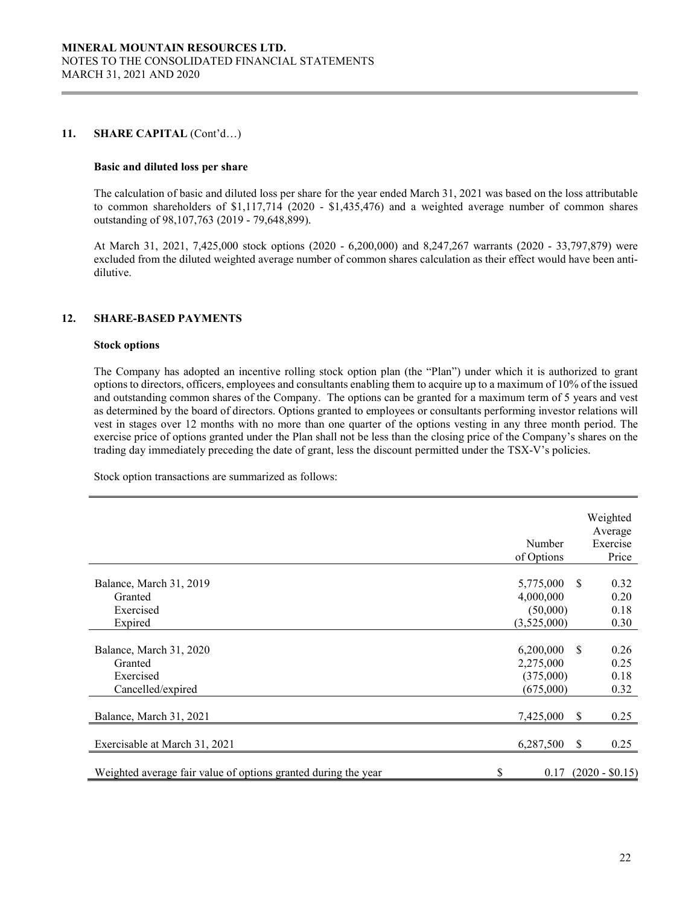# **11. SHARE CAPITAL** (Cont'd…)

#### **Basic and diluted loss per share**

The calculation of basic and diluted loss per share for the year ended March 31, 2021 was based on the loss attributable to common shareholders of \$1,117,714 (2020 - \$1,435,476) and a weighted average number of common shares outstanding of 98,107,763 (2019 - 79,648,899).

At March 31, 2021, 7,425,000 stock options (2020 - 6,200,000) and 8,247,267 warrants (2020 - 33,797,879) were excluded from the diluted weighted average number of common shares calculation as their effect would have been antidilutive.

# **12. SHARE-BASED PAYMENTS**

#### **Stock options**

The Company has adopted an incentive rolling stock option plan (the "Plan") under which it is authorized to grant options to directors, officers, employees and consultants enabling them to acquire up to a maximum of 10% of the issued and outstanding common shares of the Company. The options can be granted for a maximum term of 5 years and vest as determined by the board of directors. Options granted to employees or consultants performing investor relations will vest in stages over 12 months with no more than one quarter of the options vesting in any three month period. The exercise price of options granted under the Plan shall not be less than the closing price of the Company's shares on the trading day immediately preceding the date of grant, less the discount permitted under the TSX-V's policies.

Stock option transactions are summarized as follows:

|                                                                      | Number<br>of Options                              |               | Weighted<br>Average<br>Exercise<br>Price |
|----------------------------------------------------------------------|---------------------------------------------------|---------------|------------------------------------------|
| Balance, March 31, 2019<br>Granted<br>Exercised<br>Expired           | 5,775,000<br>4,000,000<br>(50,000)<br>(3,525,000) | <sup>\$</sup> | 0.32<br>0.20<br>0.18<br>0.30             |
| Balance, March 31, 2020<br>Granted<br>Exercised<br>Cancelled/expired | 6,200,000<br>2,275,000<br>(375,000)<br>(675,000)  | <sup>\$</sup> | 0.26<br>0.25<br>0.18<br>0.32             |
| Balance, March 31, 2021                                              | 7,425,000                                         | <sup>\$</sup> | 0.25                                     |
| Exercisable at March 31, 2021                                        | 6,287,500                                         | S             | 0.25                                     |
| Weighted average fair value of options granted during the year       | \$<br>0.17                                        |               | $(2020 - $0.15)$                         |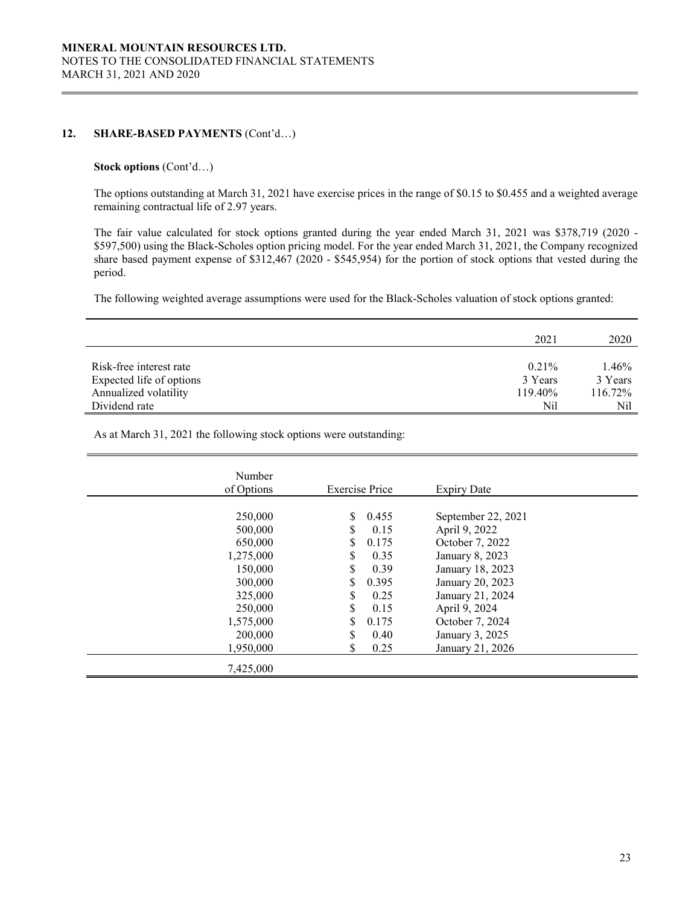# **12. SHARE-BASED PAYMENTS** (Cont'd…)

#### **Stock options** (Cont'd…)

The options outstanding at March 31, 2021 have exercise prices in the range of \$0.15 to \$0.455 and a weighted average remaining contractual life of 2.97 years.

The fair value calculated for stock options granted during the year ended March 31, 2021 was \$378,719 (2020 - \$597,500) using the Black-Scholes option pricing model. For the year ended March 31, 2021, the Company recognized share based payment expense of \$312,467 (2020 - \$545,954) for the portion of stock options that vested during the period.

The following weighted average assumptions were used for the Black-Scholes valuation of stock options granted:

|                          | 2021     | 2020     |
|--------------------------|----------|----------|
|                          |          |          |
| Risk-free interest rate  | $0.21\%$ | $1.46\%$ |
| Expected life of options | 3 Years  | 3 Years  |
| Annualized volatility    | 119.40%  | 116.72%  |
| Dividend rate            | Nil      | Nil      |

As at March 31, 2021 the following stock options were outstanding:

| Number<br>of Options                                             | <b>Exercise Price</b>                                                         | <b>Expiry Date</b>                                                                                                |  |
|------------------------------------------------------------------|-------------------------------------------------------------------------------|-------------------------------------------------------------------------------------------------------------------|--|
| 250,000<br>500,000<br>650,000<br>1,275,000<br>150,000<br>300,000 | 0.455<br>\$<br>0.15<br>\$<br>0.175<br>\$<br>0.35<br>\$<br>0.39<br>\$<br>0.395 | September 22, 2021<br>April 9, 2022<br>October 7, 2022<br>January 8, 2023<br>January 18, 2023<br>January 20, 2023 |  |
| 325,000<br>250,000<br>1,575,000<br>200,000<br>1,950,000          | \$<br>0.25<br>\$<br>0.15<br>\$<br>0.175<br>\$<br>0.40<br>\$<br>0.25           | January 21, 2024<br>April 9, 2024<br>October 7, 2024<br>January 3, 2025<br>January 21, 2026                       |  |
| 7,425,000                                                        |                                                                               |                                                                                                                   |  |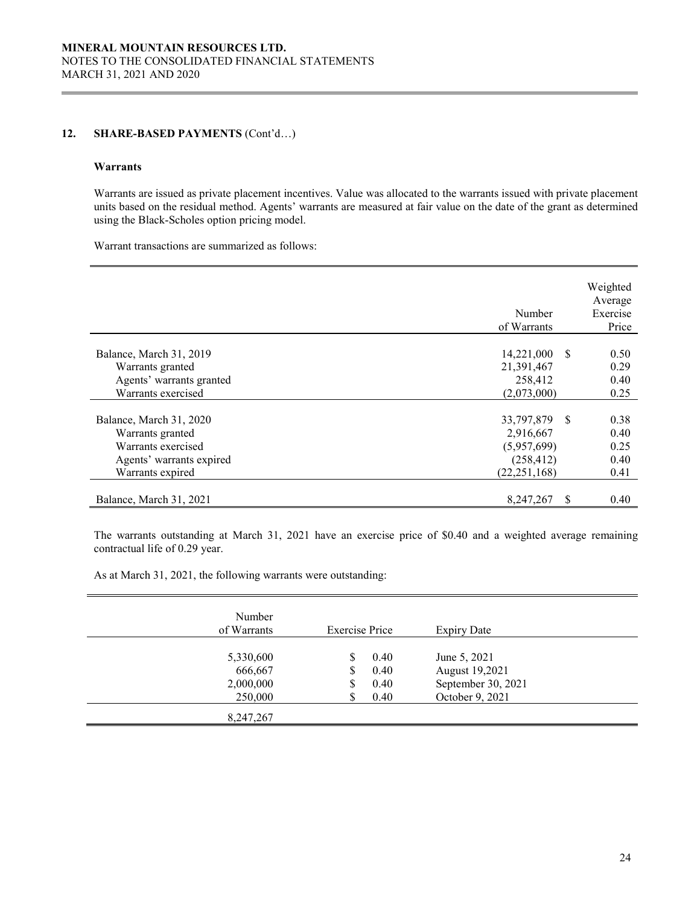# **12. SHARE-BASED PAYMENTS** (Cont'd…)

#### **Warrants**

Warrants are issued as private placement incentives. Value was allocated to the warrants issued with private placement units based on the residual method. Agents' warrants are measured at fair value on the date of the grant as determined using the Black-Scholes option pricing model.

Warrant transactions are summarized as follows:

|                          | Number         | Weighted<br>Average<br>Exercise |
|--------------------------|----------------|---------------------------------|
|                          | of Warrants    | Price                           |
|                          |                |                                 |
| Balance, March 31, 2019  | 14,221,000 \$  | 0.50                            |
| Warrants granted         | 21,391,467     | 0.29                            |
| Agents' warrants granted | 258,412        | 0.40                            |
| Warrants exercised       | (2,073,000)    | 0.25                            |
|                          |                |                                 |
| Balance, March 31, 2020  | 33,797,879 \$  | 0.38                            |
| Warrants granted         | 2,916,667      | 0.40                            |
| Warrants exercised       | (5,957,699)    | 0.25                            |
| Agents' warrants expired | (258, 412)     | 0.40                            |
| Warrants expired         | (22, 251, 168) | 0.41                            |
|                          |                |                                 |
| Balance, March 31, 2021  | 8,247,267<br>S | 0.40                            |

The warrants outstanding at March 31, 2021 have an exercise price of \$0.40 and a weighted average remaining contractual life of 0.29 year.

As at March 31, 2021, the following warrants were outstanding:

| Number<br>of Warrants | <b>Exercise Price</b> | <b>Expiry Date</b> |  |
|-----------------------|-----------------------|--------------------|--|
| 5,330,600             | 0.40                  | June 5, 2021       |  |
| 666,667               | 0.40<br>S             | August 19,2021     |  |
| 2,000,000             | 0.40<br>\$            | September 30, 2021 |  |
| 250,000               | 0.40                  | October 9, 2021    |  |
| 8,247,267             |                       |                    |  |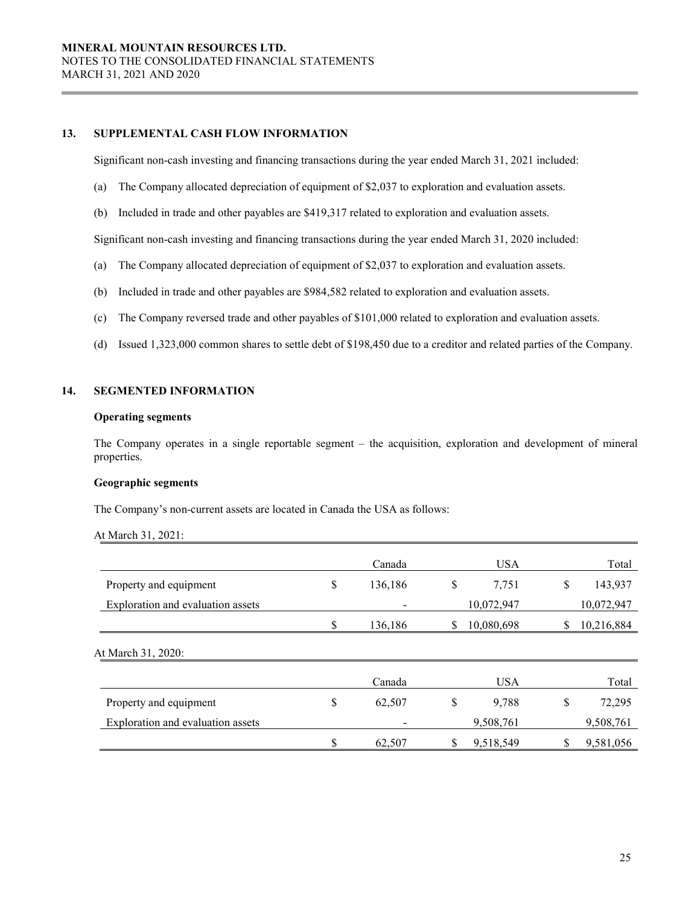#### **13. SUPPLEMENTAL CASH FLOW INFORMATION**

Significant non-cash investing and financing transactions during the year ended March 31, 2021 included:

- (a) The Company allocated depreciation of equipment of \$2,037 to exploration and evaluation assets.
- (b) Included in trade and other payables are \$419,317 related to exploration and evaluation assets.

Significant non-cash investing and financing transactions during the year ended March 31, 2020 included:

- (a) The Company allocated depreciation of equipment of \$2,037 to exploration and evaluation assets.
- (b) Included in trade and other payables are \$984,582 related to exploration and evaluation assets.
- (c) The Company reversed trade and other payables of \$101,000 related to exploration and evaluation assets.
- (d) Issued 1,323,000 common shares to settle debt of \$198,450 due to a creditor and related parties of the Company.

# **14. SEGMENTED INFORMATION**

#### **Operating segments**

The Company operates in a single reportable segment – the acquisition, exploration and development of mineral properties.

#### **Geographic segments**

The Company's non-current assets are located in Canada the USA as follows:

#### At March 31, 2021:

|                                   | Canada        | <b>USA</b>       |    | Total      |
|-----------------------------------|---------------|------------------|----|------------|
| Property and equipment            | \$<br>136,186 | \$<br>7,751      | \$ | 143,937    |
| Exploration and evaluation assets |               | 10,072,947       |    | 10,072,947 |
|                                   | \$<br>136,186 | \$<br>10,080,698 | S  | 10,216,884 |
| At March 31, 2020:                |               |                  |    |            |
|                                   | Canada        | <b>USA</b>       |    | Total      |
| Property and equipment            | \$<br>62,507  | \$<br>9,788      | \$ | 72,295     |
| Exploration and evaluation assets | ٠             | 9,508,761        |    | 9,508,761  |
|                                   | \$<br>62,507  | \$<br>9,518,549  |    | 9,581,056  |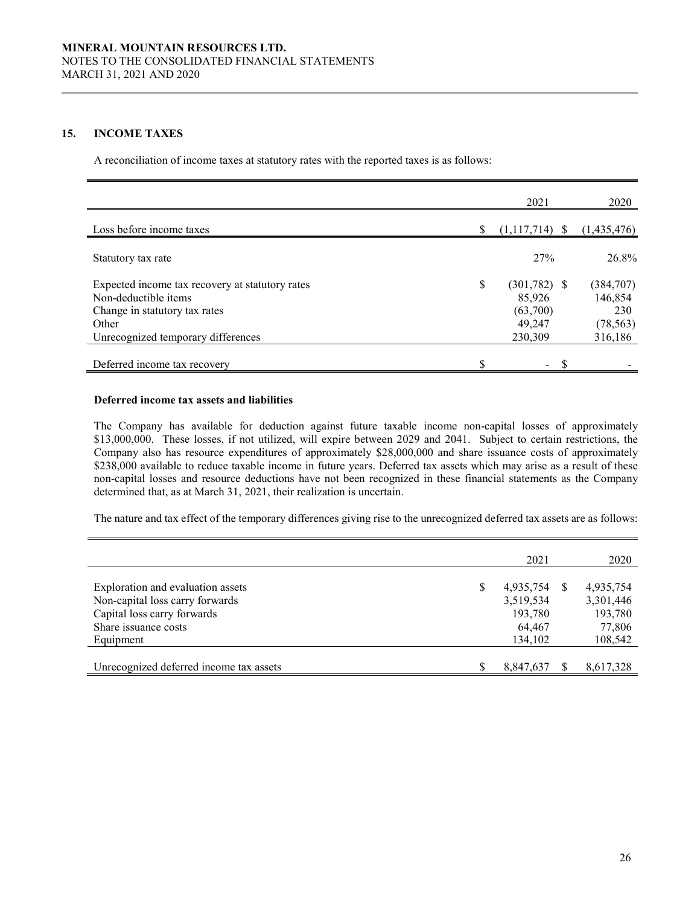# **15. INCOME TAXES**

A reconciliation of income taxes at statutory rates with the reported taxes is as follows:

|                                                 |    | 2021                     |              | 2020        |
|-------------------------------------------------|----|--------------------------|--------------|-------------|
|                                                 |    |                          |              |             |
| Loss before income taxes                        | S  | (1,117,714)              | <sup>8</sup> | (1,435,476) |
|                                                 |    |                          |              |             |
| Statutory tax rate                              |    | 27%                      |              | 26.8%       |
|                                                 |    |                          |              |             |
| Expected income tax recovery at statutory rates | \$ | $(301,782)$ \$           |              | (384,707)   |
| Non-deductible items                            |    | 85,926                   |              | 146,854     |
| Change in statutory tax rates                   |    | (63,700)                 |              | 230         |
| Other                                           |    | 49,247                   |              | (78, 563)   |
| Unrecognized temporary differences              |    | 230,309                  |              | 316,186     |
|                                                 |    |                          |              |             |
| Deferred income tax recovery                    |    | $\overline{\phantom{0}}$ |              |             |

# **Deferred income tax assets and liabilities**

The Company has available for deduction against future taxable income non-capital losses of approximately \$13,000,000. These losses, if not utilized, will expire between 2029 and 2041. Subject to certain restrictions, the Company also has resource expenditures of approximately \$28,000,000 and share issuance costs of approximately \$238,000 available to reduce taxable income in future years. Deferred tax assets which may arise as a result of these non-capital losses and resource deductions have not been recognized in these financial statements as the Company determined that, as at March 31, 2021, their realization is uncertain.

The nature and tax effect of the temporary differences giving rise to the unrecognized deferred tax assets are as follows:

|                                         |   | 2021      | 2020      |
|-----------------------------------------|---|-----------|-----------|
| Exploration and evaluation assets       | S | 4,935,754 | 4,935,754 |
| Non-capital loss carry forwards         |   | 3,519,534 | 3,301,446 |
| Capital loss carry forwards             |   | 193,780   | 193,780   |
| Share issuance costs                    |   | 64,467    | 77,806    |
| Equipment                               |   | 134,102   | 108,542   |
|                                         |   |           |           |
| Unrecognized deferred income tax assets |   | 8,847,637 | 8,617,328 |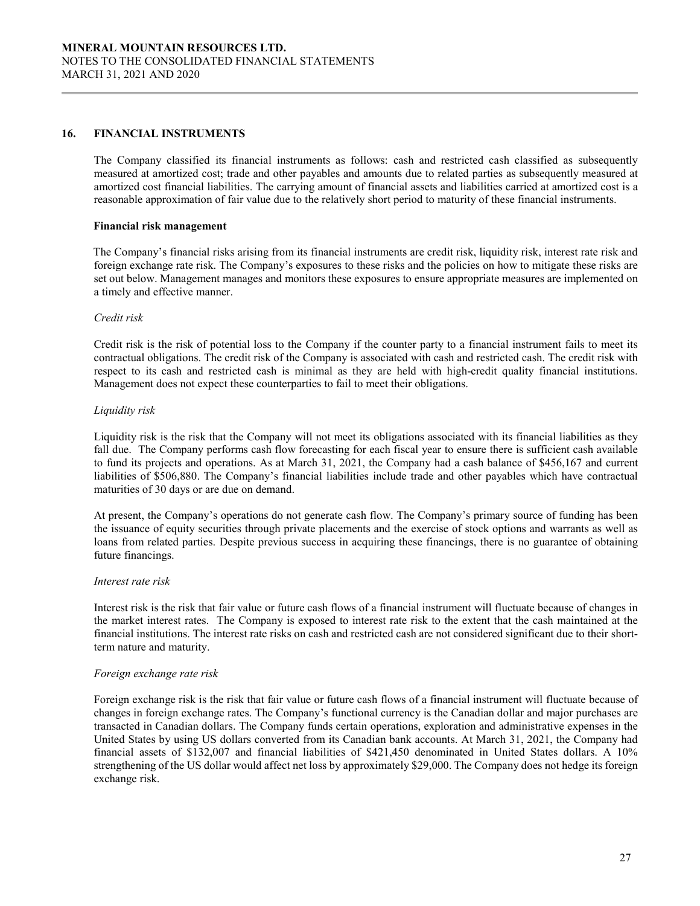#### **16. FINANCIAL INSTRUMENTS**

The Company classified its financial instruments as follows: cash and restricted cash classified as subsequently measured at amortized cost; trade and other payables and amounts due to related parties as subsequently measured at amortized cost financial liabilities. The carrying amount of financial assets and liabilities carried at amortized cost is a reasonable approximation of fair value due to the relatively short period to maturity of these financial instruments.

# **Financial risk management**

The Company's financial risks arising from its financial instruments are credit risk, liquidity risk, interest rate risk and foreign exchange rate risk. The Company's exposures to these risks and the policies on how to mitigate these risks are set out below. Management manages and monitors these exposures to ensure appropriate measures are implemented on a timely and effective manner.

#### *Credit risk*

Credit risk is the risk of potential loss to the Company if the counter party to a financial instrument fails to meet its contractual obligations. The credit risk of the Company is associated with cash and restricted cash. The credit risk with respect to its cash and restricted cash is minimal as they are held with high-credit quality financial institutions. Management does not expect these counterparties to fail to meet their obligations.

#### *Liquidity risk*

Liquidity risk is the risk that the Company will not meet its obligations associated with its financial liabilities as they fall due. The Company performs cash flow forecasting for each fiscal year to ensure there is sufficient cash available to fund its projects and operations. As at March 31, 2021, the Company had a cash balance of \$456,167 and current liabilities of \$506,880. The Company's financial liabilities include trade and other payables which have contractual maturities of 30 days or are due on demand.

At present, the Company's operations do not generate cash flow. The Company's primary source of funding has been the issuance of equity securities through private placements and the exercise of stock options and warrants as well as loans from related parties. Despite previous success in acquiring these financings, there is no guarantee of obtaining future financings.

#### *Interest rate risk*

Interest risk is the risk that fair value or future cash flows of a financial instrument will fluctuate because of changes in the market interest rates. The Company is exposed to interest rate risk to the extent that the cash maintained at the financial institutions. The interest rate risks on cash and restricted cash are not considered significant due to their shortterm nature and maturity.

#### *Foreign exchange rate risk*

Foreign exchange risk is the risk that fair value or future cash flows of a financial instrument will fluctuate because of changes in foreign exchange rates. The Company's functional currency is the Canadian dollar and major purchases are transacted in Canadian dollars. The Company funds certain operations, exploration and administrative expenses in the United States by using US dollars converted from its Canadian bank accounts. At March 31, 2021, the Company had financial assets of \$132,007 and financial liabilities of \$421,450 denominated in United States dollars. A 10% strengthening of the US dollar would affect net loss by approximately \$29,000. The Company does not hedge its foreign exchange risk.